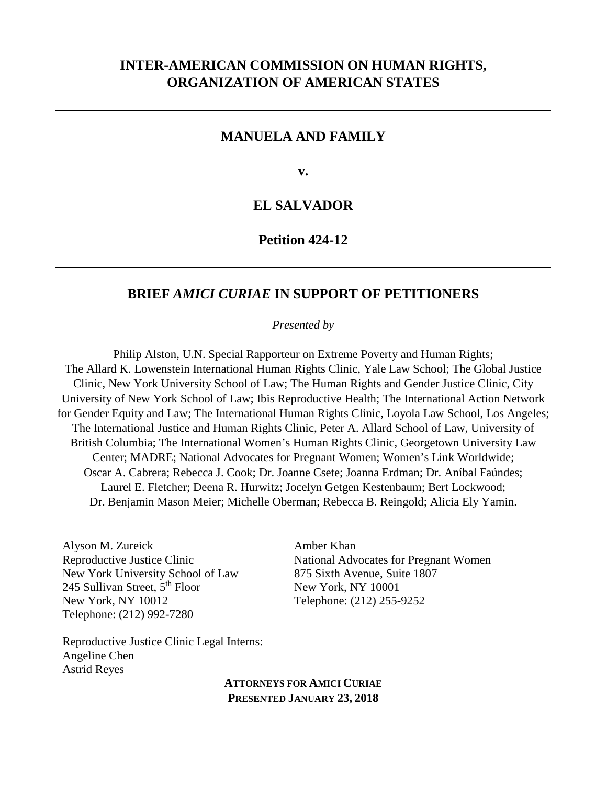# **INTER-AMERICAN COMMISSION ON HUMAN RIGHTS, ORGANIZATION OF AMERICAN STATES**

## **MANUELA AND FAMILY**

**v.**

# **EL SALVADOR**

## **Petition 424-12**

## **BRIEF** *AMICI CURIAE* **IN SUPPORT OF PETITIONERS**

*Presented by*

Philip Alston, U.N. Special Rapporteur on Extreme Poverty and Human Rights; The Allard K. Lowenstein International Human Rights Clinic, Yale Law School; The Global Justice Clinic, New York University School of Law; The Human Rights and Gender Justice Clinic, City University of New York School of Law; Ibis Reproductive Health; The International Action Network for Gender Equity and Law; The International Human Rights Clinic, Loyola Law School, Los Angeles; The International Justice and Human Rights Clinic, Peter A. Allard School of Law, University of British Columbia; The International Women's Human Rights Clinic, Georgetown University Law Center; MADRE; National Advocates for Pregnant Women; Women's Link Worldwide; Oscar A. Cabrera; Rebecca J. Cook; Dr. Joanne Csete; Joanna Erdman; Dr. Aníbal Faúndes; Laurel E. Fletcher; Deena R. Hurwitz; Jocelyn Getgen Kestenbaum; Bert Lockwood; Dr. Benjamin Mason Meier; Michelle Oberman; Rebecca B. Reingold; Alicia Ely Yamin.

Alyson M. Zureick Reproductive Justice Clinic New York University School of Law 245 Sullivan Street,  $5<sup>th</sup>$  Floor New York, NY 10012 Telephone: (212) 992-7280

Amber Khan National Advocates for Pregnant Women 875 Sixth Avenue, Suite 1807 New York, NY 10001 Telephone: (212) 255-9252

Reproductive Justice Clinic Legal Interns: Angeline Chen Astrid Reyes

> **ATTORNEYS FOR AMICI CURIAE PRESENTED JANUARY 23, 2018**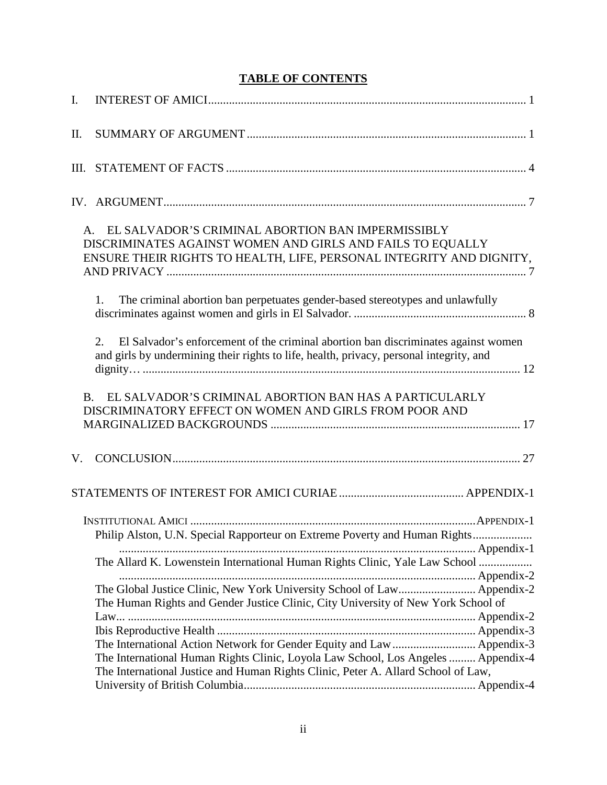# **TABLE OF CONTENTS**

| I.  |                                                                                                                                                                                                                                                  |
|-----|--------------------------------------------------------------------------------------------------------------------------------------------------------------------------------------------------------------------------------------------------|
| II. |                                                                                                                                                                                                                                                  |
|     |                                                                                                                                                                                                                                                  |
|     |                                                                                                                                                                                                                                                  |
|     | A. EL SALVADOR'S CRIMINAL ABORTION BAN IMPERMISSIBLY<br>DISCRIMINATES AGAINST WOMEN AND GIRLS AND FAILS TO EQUALLY<br>ENSURE THEIR RIGHTS TO HEALTH, LIFE, PERSONAL INTEGRITY AND DIGNITY,                                                       |
|     | The criminal abortion ban perpetuates gender-based stereotypes and unlawfully<br>1.                                                                                                                                                              |
|     | El Salvador's enforcement of the criminal abortion ban discriminates against women<br>2.<br>and girls by undermining their rights to life, health, privacy, personal integrity, and                                                              |
|     | EL SALVADOR'S CRIMINAL ABORTION BAN HAS A PARTICULARLY<br><b>B.</b><br>DISCRIMINATORY EFFECT ON WOMEN AND GIRLS FROM POOR AND                                                                                                                    |
| V.  |                                                                                                                                                                                                                                                  |
|     |                                                                                                                                                                                                                                                  |
|     | Philip Alston, U.N. Special Rapporteur on Extreme Poverty and Human Rights                                                                                                                                                                       |
|     | The Allard K. Lowenstein International Human Rights Clinic, Yale Law School                                                                                                                                                                      |
|     | The Global Justice Clinic, New York University School of Law Appendix-2<br>The Human Rights and Gender Justice Clinic, City University of New York School of                                                                                     |
|     | The International Action Network for Gender Equity and Law  Appendix-3<br>The International Human Rights Clinic, Loyola Law School, Los Angeles  Appendix-4<br>The International Justice and Human Rights Clinic, Peter A. Allard School of Law, |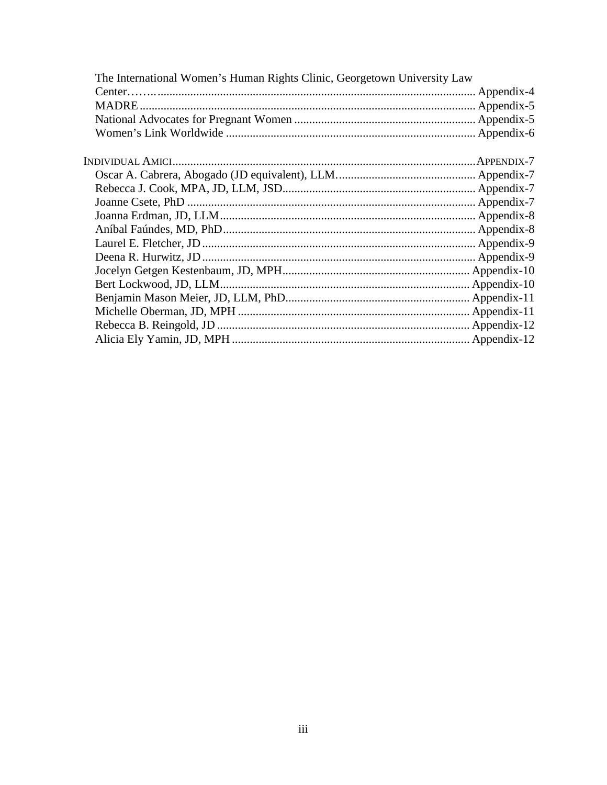| The International Women's Human Rights Clinic, Georgetown University Law |  |
|--------------------------------------------------------------------------|--|
|                                                                          |  |
|                                                                          |  |
|                                                                          |  |
|                                                                          |  |
|                                                                          |  |
|                                                                          |  |
|                                                                          |  |
|                                                                          |  |
|                                                                          |  |
|                                                                          |  |
|                                                                          |  |
|                                                                          |  |
|                                                                          |  |
|                                                                          |  |
|                                                                          |  |
|                                                                          |  |
|                                                                          |  |
|                                                                          |  |
|                                                                          |  |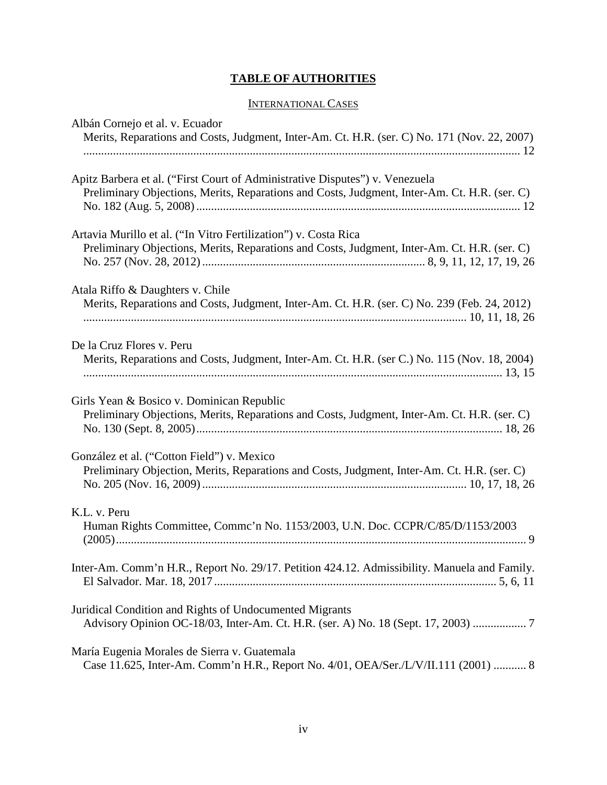# **TABLE OF AUTHORITIES**

## INTERNATIONAL CASES

| Albán Cornejo et al. v. Ecuador<br>Merits, Reparations and Costs, Judgment, Inter-Am. Ct. H.R. (ser. C) No. 171 (Nov. 22, 2007)                                              |
|------------------------------------------------------------------------------------------------------------------------------------------------------------------------------|
| Apitz Barbera et al. ("First Court of Administrative Disputes") v. Venezuela<br>Preliminary Objections, Merits, Reparations and Costs, Judgment, Inter-Am. Ct. H.R. (ser. C) |
| Artavia Murillo et al. ("In Vitro Fertilization") v. Costa Rica<br>Preliminary Objections, Merits, Reparations and Costs, Judgment, Inter-Am. Ct. H.R. (ser. C)              |
| Atala Riffo & Daughters v. Chile<br>Merits, Reparations and Costs, Judgment, Inter-Am. Ct. H.R. (ser. C) No. 239 (Feb. 24, 2012)                                             |
| De la Cruz Flores v. Peru<br>Merits, Reparations and Costs, Judgment, Inter-Am. Ct. H.R. (ser C.) No. 115 (Nov. 18, 2004)                                                    |
| Girls Yean & Bosico v. Dominican Republic<br>Preliminary Objections, Merits, Reparations and Costs, Judgment, Inter-Am. Ct. H.R. (ser. C)                                    |
| González et al. ("Cotton Field") v. Mexico<br>Preliminary Objection, Merits, Reparations and Costs, Judgment, Inter-Am. Ct. H.R. (ser. C)                                    |
| K.L. v. Peru<br>Human Rights Committee, Commc'n No. 1153/2003, U.N. Doc. CCPR/C/85/D/1153/2003                                                                               |
| Inter-Am. Comm'n H.R., Report No. 29/17. Petition 424.12. Admissibility. Manuela and Family.                                                                                 |
| Juridical Condition and Rights of Undocumented Migrants                                                                                                                      |
| María Eugenia Morales de Sierra v. Guatemala<br>Case 11.625, Inter-Am. Comm'n H.R., Report No. 4/01, OEA/Ser./L/V/II.111 (2001)  8                                           |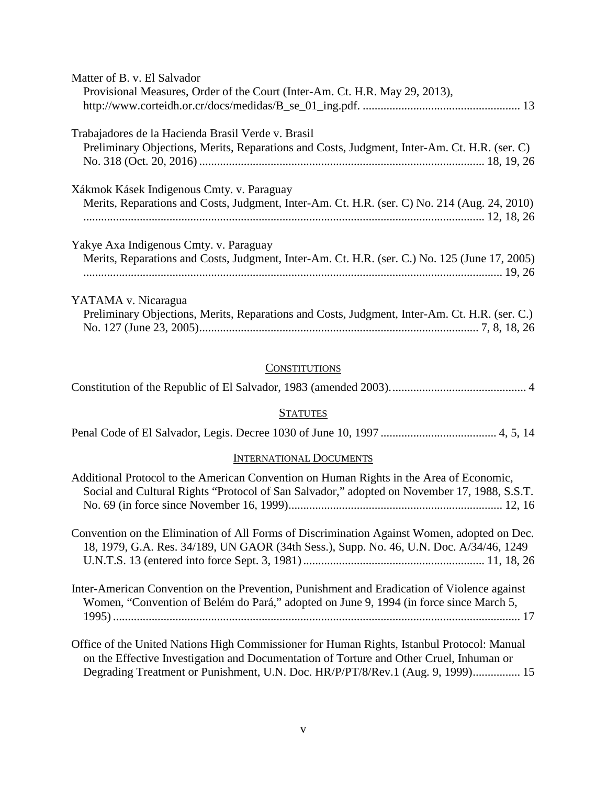| Matter of B. v. El Salvador                                                                   |
|-----------------------------------------------------------------------------------------------|
| Provisional Measures, Order of the Court (Inter-Am. Ct. H.R. May 29, 2013),                   |
|                                                                                               |
| Trabajadores de la Hacienda Brasil Verde v. Brasil                                            |
| Preliminary Objections, Merits, Reparations and Costs, Judgment, Inter-Am. Ct. H.R. (ser. C)  |
|                                                                                               |
| Xákmok Kásek Indigenous Cmty. v. Paraguay                                                     |
| Merits, Reparations and Costs, Judgment, Inter-Am. Ct. H.R. (ser. C) No. 214 (Aug. 24, 2010)  |
| Yakye Axa Indigenous Cmty. v. Paraguay                                                        |
|                                                                                               |
| Merits, Reparations and Costs, Judgment, Inter-Am. Ct. H.R. (ser. C.) No. 125 (June 17, 2005) |
|                                                                                               |
| YATAMA v. Nicaragua                                                                           |
| Preliminary Objections, Merits, Reparations and Costs, Judgment, Inter-Am. Ct. H.R. (ser. C.) |

# **CONSTITUTIONS**

No. 127 (June 23, 2005).............................................................................................. 7, 8, 18, 26

|--|--|--|

### **STATUTES**

|--|--|--|

#### INTERNATIONAL DOCUMENTS

| Additional Protocol to the American Convention on Human Rights in the Area of Economic,<br>Social and Cultural Rights "Protocol of San Salvador," adopted on November 17, 1988, S.S.T. |
|----------------------------------------------------------------------------------------------------------------------------------------------------------------------------------------|
|                                                                                                                                                                                        |
| Convention on the Elimination of All Forms of Discrimination Against Women, adopted on Dec.<br>18, 1979, G.A. Res. 34/189, UN GAOR (34th Sess.), Supp. No. 46, U.N. Doc. A/34/46, 1249 |
| Inter-American Convention on the Prevention, Punishment and Eradication of Violence against<br>Women, "Convention of Belém do Pará," adopted on June 9, 1994 (in force since March 5,  |

Office of the United Nations High Commissioner for Human Rights, Istanbul Protocol: Manual on the Effective Investigation and Documentation of Torture and Other Cruel, Inhuman or Degrading Treatment or Punishment, U.N. Doc. HR/P/PT/8/Rev.1 (Aug. 9, 1999)................ 15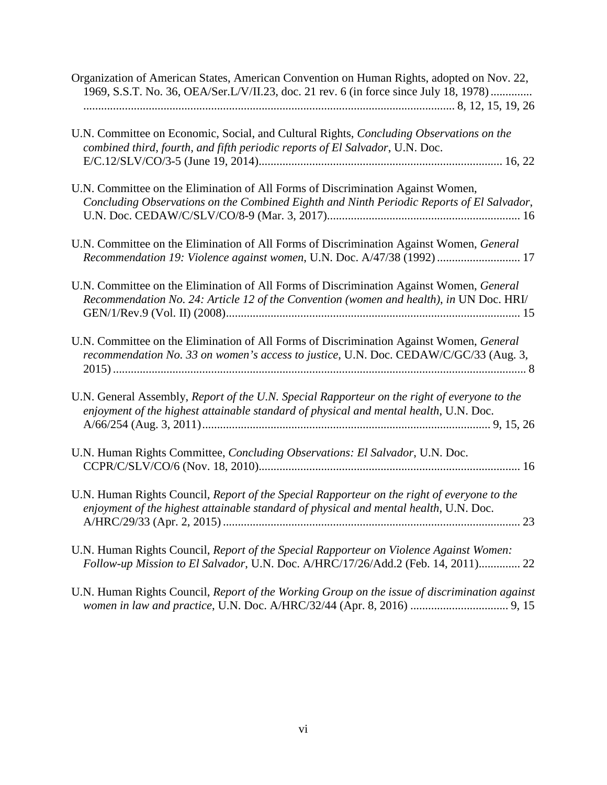| Organization of American States, American Convention on Human Rights, adopted on Nov. 22,<br>1969, S.S.T. No. 36, OEA/Ser.L/V/II.23, doc. 21 rev. 6 (in force since July 18, 1978)    |
|---------------------------------------------------------------------------------------------------------------------------------------------------------------------------------------|
| U.N. Committee on Economic, Social, and Cultural Rights, Concluding Observations on the<br>combined third, fourth, and fifth periodic reports of El Salvador, U.N. Doc.               |
| U.N. Committee on the Elimination of All Forms of Discrimination Against Women,<br>Concluding Observations on the Combined Eighth and Ninth Periodic Reports of El Salvador,          |
| U.N. Committee on the Elimination of All Forms of Discrimination Against Women, General<br>Recommendation 19: Violence against women, U.N. Doc. A/47/38 (1992)  17                    |
| U.N. Committee on the Elimination of All Forms of Discrimination Against Women, General<br>Recommendation No. 24: Article 12 of the Convention (women and health), in UN Doc. HRI/    |
| U.N. Committee on the Elimination of All Forms of Discrimination Against Women, General<br>recommendation No. 33 on women's access to justice, U.N. Doc. CEDAW/C/GC/33 (Aug. 3,       |
| U.N. General Assembly, Report of the U.N. Special Rapporteur on the right of everyone to the<br>enjoyment of the highest attainable standard of physical and mental health, U.N. Doc. |
| U.N. Human Rights Committee, Concluding Observations: El Salvador, U.N. Doc.                                                                                                          |
| U.N. Human Rights Council, Report of the Special Rapporteur on the right of everyone to the<br>enjoyment of the highest attainable standard of physical and mental health, U.N. Doc.  |
| U.N. Human Rights Council, Report of the Special Rapporteur on Violence Against Women:<br>Follow-up Mission to El Salvador, U.N. Doc. A/HRC/17/26/Add.2 (Feb. 14, 2011) 22            |

U.N. Human Rights Council, *Report of the Working Group on the issue of discrimination against women in law and practice*, U.N. Doc. A/HRC/32/44 (Apr. 8, 2016) ................................. 9, 15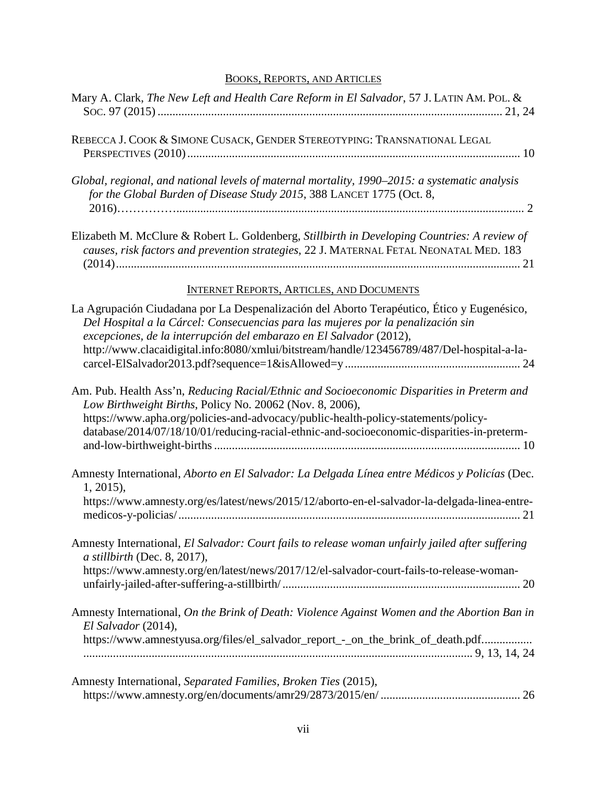# BOOKS, REPORTS, AND ARTICLES

| Mary A. Clark, The New Left and Health Care Reform in El Salvador, 57 J. LATIN AM. POL. &                                                                                                                                                                                                                                                           |
|-----------------------------------------------------------------------------------------------------------------------------------------------------------------------------------------------------------------------------------------------------------------------------------------------------------------------------------------------------|
| REBECCA J. COOK & SIMONE CUSACK, GENDER STEREOTYPING: TRANSNATIONAL LEGAL                                                                                                                                                                                                                                                                           |
| Global, regional, and national levels of maternal mortality, 1990–2015: a systematic analysis<br>for the Global Burden of Disease Study 2015, 388 LANCET 1775 (Oct. 8,                                                                                                                                                                              |
| Elizabeth M. McClure & Robert L. Goldenberg, Stillbirth in Developing Countries: A review of<br>causes, risk factors and prevention strategies, 22 J. MATERNAL FETAL NEONATAL MED. 183                                                                                                                                                              |
| <b>INTERNET REPORTS, ARTICLES, AND DOCUMENTS</b>                                                                                                                                                                                                                                                                                                    |
| La Agrupación Ciudadana por La Despenalización del Aborto Terapéutico, Ético y Eugenésico,<br>Del Hospital a la Cárcel: Consecuencias para las mujeres por la penalización sin<br>excepciones, de la interrupción del embarazo en El Salvador (2012),<br>http://www.clacaidigital.info:8080/xmlui/bitstream/handle/123456789/487/Del-hospital-a-la- |
| Am. Pub. Health Ass'n, Reducing Racial/Ethnic and Socioeconomic Disparities in Preterm and<br>Low Birthweight Births, Policy No. 20062 (Nov. 8, 2006),<br>https://www.apha.org/policies-and-advocacy/public-health-policy-statements/policy-<br>database/2014/07/18/10/01/reducing-racial-ethnic-and-socioeconomic-disparities-in-preterm-          |
| Amnesty International, Aborto en El Salvador: La Delgada Línea entre Médicos y Policías (Dec.<br>$1, 2015$ ,                                                                                                                                                                                                                                        |
| https://www.amnesty.org/es/latest/news/2015/12/aborto-en-el-salvador-la-delgada-linea-entre-                                                                                                                                                                                                                                                        |
| Amnesty International, El Salvador: Court fails to release woman unfairly jailed after suffering<br>$a$ stillbirth (Dec. 8, 2017),<br>https://www.amnesty.org/en/latest/news/2017/12/el-salvador-court-fails-to-release-woman-                                                                                                                      |
| Amnesty International, On the Brink of Death: Violence Against Women and the Abortion Ban in<br>El Salvador (2014),                                                                                                                                                                                                                                 |
| https://www.amnestyusa.org/files/el_salvador_report_-_on_the_brink_of_death.pdf                                                                                                                                                                                                                                                                     |
| Amnesty International, Separated Families, Broken Ties (2015),                                                                                                                                                                                                                                                                                      |

https://www.amnesty.org/en/documents/amr29/2873/2015/en/ ............................................... 26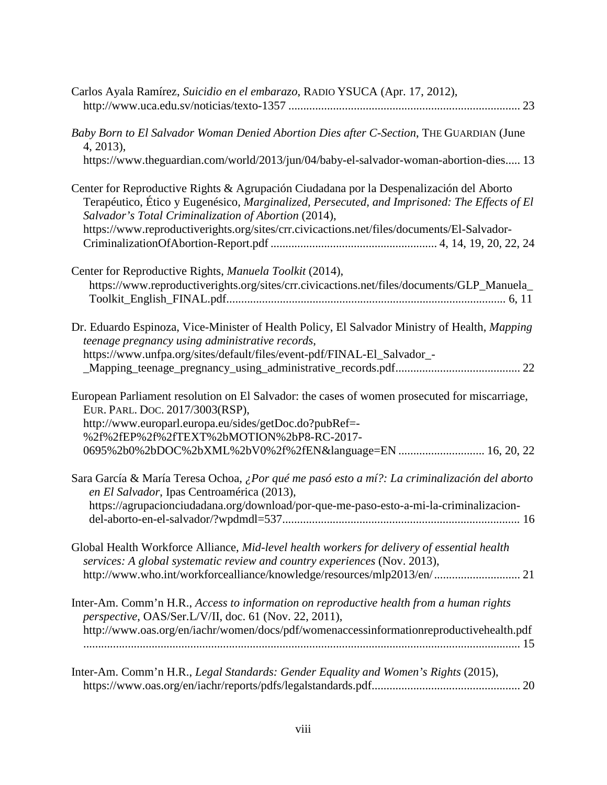| Carlos Ayala Ramírez, Suicidio en el embarazo, RADIO YSUCA (Apr. 17, 2012),                                                                                                                                                                     |
|-------------------------------------------------------------------------------------------------------------------------------------------------------------------------------------------------------------------------------------------------|
| Baby Born to El Salvador Woman Denied Abortion Dies after C-Section, THE GUARDIAN (June<br>4, 2013),                                                                                                                                            |
| https://www.theguardian.com/world/2013/jun/04/baby-el-salvador-woman-abortion-dies 13                                                                                                                                                           |
| Center for Reproductive Rights & Agrupación Ciudadana por la Despenalización del Aborto<br>Terapéutico, Ético y Eugenésico, Marginalized, Persecuted, and Imprisoned: The Effects of El<br>Salvador's Total Criminalization of Abortion (2014), |
| https://www.reproductiverights.org/sites/crr.civicactions.net/files/documents/El-Salvador-                                                                                                                                                      |
| Center for Reproductive Rights, Manuela Toolkit (2014),                                                                                                                                                                                         |
| https://www.reproductiverights.org/sites/crr.civicactions.net/files/documents/GLP_Manuela_                                                                                                                                                      |
| Dr. Eduardo Espinoza, Vice-Minister of Health Policy, El Salvador Ministry of Health, Mapping<br>teenage pregnancy using administrative records,                                                                                                |
| https://www.unfpa.org/sites/default/files/event-pdf/FINAL-El_Salvador_-                                                                                                                                                                         |
| European Parliament resolution on El Salvador: the cases of women prosecuted for miscarriage,<br>EUR. PARL. DOC. 2017/3003(RSP),                                                                                                                |
| http://www.europarl.europa.eu/sides/getDoc.do?pubRef=-<br>%2f%2fEP%2f%2fTEXT%2bMOTION%2bP8-RC-2017-                                                                                                                                             |
| 0695%2b0%2bDOC%2bXML%2bV0%2f%2fEN&language=EN  16, 20, 22                                                                                                                                                                                       |
| Sara García & María Teresa Ochoa, ¿Por qué me pasó esto a mí?: La criminalización del aborto<br>en El Salvador, Ipas Centroamérica (2013),                                                                                                      |
| https://agrupacionciudadana.org/download/por-que-me-paso-esto-a-mi-la-criminalizacion-                                                                                                                                                          |
| Global Health Workforce Alliance, Mid-level health workers for delivery of essential health<br>services: A global systematic review and country experiences (Nov. 2013),                                                                        |
| http://www.who.int/workforcealliance/knowledge/resources/mlp2013/en/ 21                                                                                                                                                                         |
| Inter-Am. Comm'n H.R., Access to information on reproductive health from a human rights<br>perspective, OAS/Ser.L/V/II, doc. 61 (Nov. 22, 2011),                                                                                                |
| http://www.oas.org/en/iachr/women/docs/pdf/womenaccessinformationreproductivehealth.pdf                                                                                                                                                         |
|                                                                                                                                                                                                                                                 |
| Inter-Am. Comm'n H.R., Legal Standards: Gender Equality and Women's Rights (2015),                                                                                                                                                              |
|                                                                                                                                                                                                                                                 |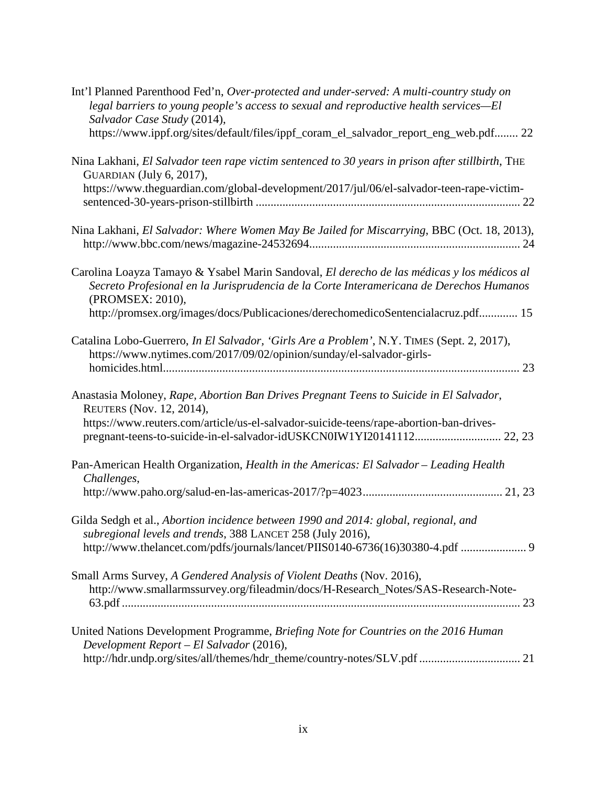| Int'l Planned Parenthood Fed'n, Over-protected and under-served: A multi-country study on<br>legal barriers to young people's access to sexual and reproductive health services-El<br>Salvador Case Study (2014), |
|-------------------------------------------------------------------------------------------------------------------------------------------------------------------------------------------------------------------|
| https://www.ippf.org/sites/default/files/ippf_coram_el_salvador_report_eng_web.pdf 22                                                                                                                             |
| Nina Lakhani, El Salvador teen rape victim sentenced to 30 years in prison after stillbirth, THE<br>GUARDIAN (July 6, 2017),                                                                                      |
| https://www.theguardian.com/global-development/2017/jul/06/el-salvador-teen-rape-victim-                                                                                                                          |
| Nina Lakhani, El Salvador: Where Women May Be Jailed for Miscarrying, BBC (Oct. 18, 2013),                                                                                                                        |
| Carolina Loayza Tamayo & Ysabel Marin Sandoval, El derecho de las médicas y los médicos al<br>Secreto Profesional en la Jurisprudencia de la Corte Interamericana de Derechos Humanos<br>(PROMSEX: 2010),         |
| http://promsex.org/images/docs/Publicaciones/derechomedicoSentencialacruz.pdf 15                                                                                                                                  |
| Catalina Lobo-Guerrero, In El Salvador, 'Girls Are a Problem', N.Y. TIMES (Sept. 2, 2017),<br>https://www.nytimes.com/2017/09/02/opinion/sunday/el-salvador-girls-                                                |
|                                                                                                                                                                                                                   |
| Anastasia Moloney, Rape, Abortion Ban Drives Pregnant Teens to Suicide in El Salvador,<br>REUTERS (Nov. 12, 2014),                                                                                                |
| https://www.reuters.com/article/us-el-salvador-suicide-teens/rape-abortion-ban-drives-<br>pregnant-teens-to-suicide-in-el-salvador-idUSKCN0IW1YI20141112 22, 23                                                   |
| Pan-American Health Organization, Health in the Americas: El Salvador - Leading Health<br>Challenges,                                                                                                             |
|                                                                                                                                                                                                                   |
| Gilda Sedgh et al., Abortion incidence between 1990 and 2014: global, regional, and<br>subregional levels and trends, 388 LANCET 258 (July 2016),                                                                 |
| http://www.thelancet.com/pdfs/journals/lancet/PIIS0140-6736(16)30380-4.pdf  9                                                                                                                                     |
| Small Arms Survey, A Gendered Analysis of Violent Deaths (Nov. 2016),<br>http://www.smallarmssurvey.org/fileadmin/docs/H-Research_Notes/SAS-Research-Note-                                                        |
|                                                                                                                                                                                                                   |
| United Nations Development Programme, Briefing Note for Countries on the 2016 Human<br>Development Report - El Salvador (2016),                                                                                   |
| http://hdr.undp.org/sites/all/themes/hdr_theme/country-notes/SLV.pdf  21                                                                                                                                          |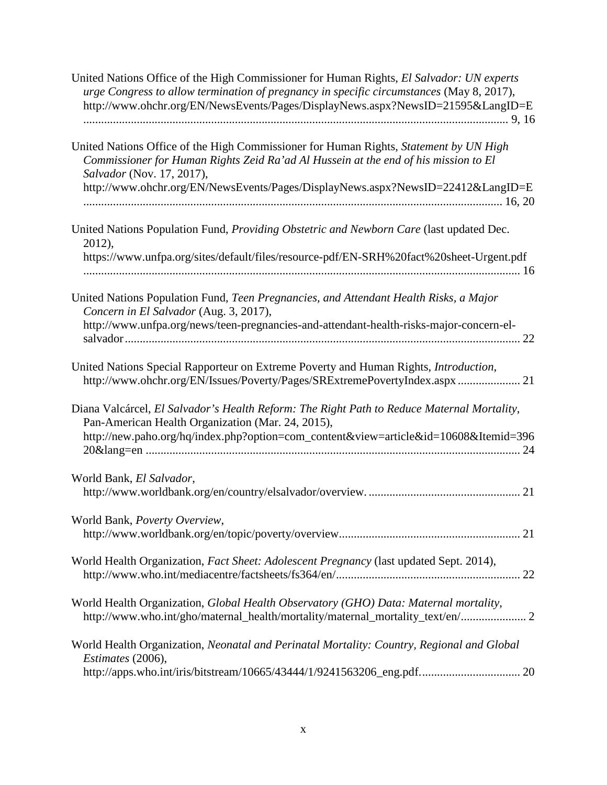| United Nations Office of the High Commissioner for Human Rights, El Salvador: UN experts<br>urge Congress to allow termination of pregnancy in specific circumstances (May 8, 2017),<br>http://www.ohchr.org/EN/NewsEvents/Pages/DisplayNews.aspx?NewsID=21595&LangID=E |
|-------------------------------------------------------------------------------------------------------------------------------------------------------------------------------------------------------------------------------------------------------------------------|
| United Nations Office of the High Commissioner for Human Rights, Statement by UN High<br>Commissioner for Human Rights Zeid Ra'ad Al Hussein at the end of his mission to El<br>Salvador (Nov. 17, 2017),                                                               |
| http://www.ohchr.org/EN/NewsEvents/Pages/DisplayNews.aspx?NewsID=22412&LangID=E                                                                                                                                                                                         |
| United Nations Population Fund, Providing Obstetric and Newborn Care (last updated Dec.<br>2012),                                                                                                                                                                       |
| https://www.unfpa.org/sites/default/files/resource-pdf/EN-SRH%20fact%20sheet-Urgent.pdf                                                                                                                                                                                 |
| United Nations Population Fund, Teen Pregnancies, and Attendant Health Risks, a Major<br>Concern in El Salvador (Aug. 3, 2017),<br>http://www.unfpa.org/news/teen-pregnancies-and-attendant-health-risks-major-concern-el-                                              |
| United Nations Special Rapporteur on Extreme Poverty and Human Rights, Introduction,<br>http://www.ohchr.org/EN/Issues/Poverty/Pages/SRExtremePovertyIndex.aspx  21                                                                                                     |
| Diana Valcárcel, El Salvador's Health Reform: The Right Path to Reduce Maternal Mortality,<br>Pan-American Health Organization (Mar. 24, 2015),<br>http://new.paho.org/hq/index.php?option=com_content&view=article&id=10608&Itemid=396                                 |
| World Bank, El Salvador,                                                                                                                                                                                                                                                |
| World Bank, Poverty Overview,                                                                                                                                                                                                                                           |
| World Health Organization, Fact Sheet: Adolescent Pregnancy (last updated Sept. 2014),                                                                                                                                                                                  |
| World Health Organization, Global Health Observatory (GHO) Data: Maternal mortality,<br>http://www.who.int/gho/maternal_health/mortality/maternal_mortality_text/en/ 2                                                                                                  |
| World Health Organization, Neonatal and Perinatal Mortality: Country, Regional and Global<br>Estimates (2006),                                                                                                                                                          |
| http://apps.who.int/iris/bitstream/10665/43444/1/9241563206_eng.pdf 20                                                                                                                                                                                                  |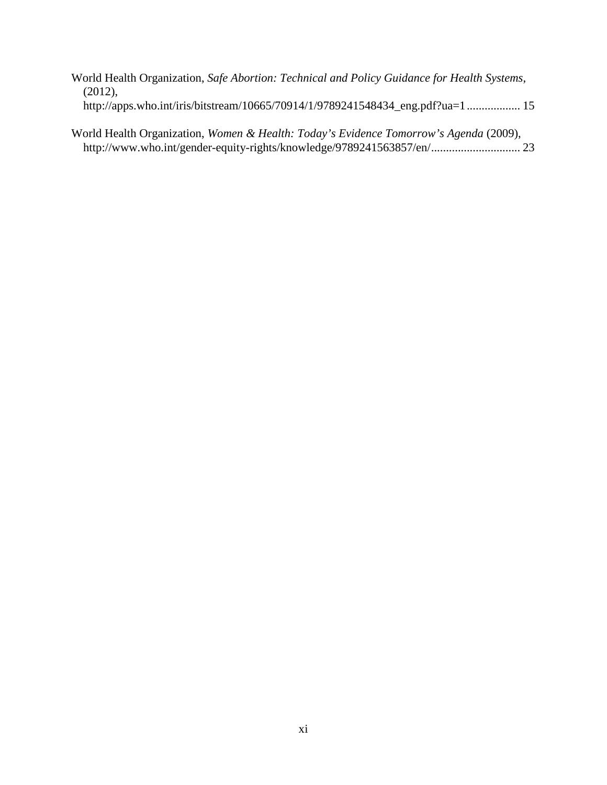|            | World Health Organization, Safe Abortion: Technical and Policy Guidance for Health Systems, |  |  |  |
|------------|---------------------------------------------------------------------------------------------|--|--|--|
| $(2012)$ , |                                                                                             |  |  |  |
|            | http://apps.who.int/iris/bitstream/10665/70914/1/9789241548434_eng.pdf?ua=1  15             |  |  |  |

World Health Organization, *Women & Health: Today's Evidence Tomorrow's Agenda* (2009), http://www.who.int/gender-equity-rights/knowledge/9789241563857/en/.............................. 23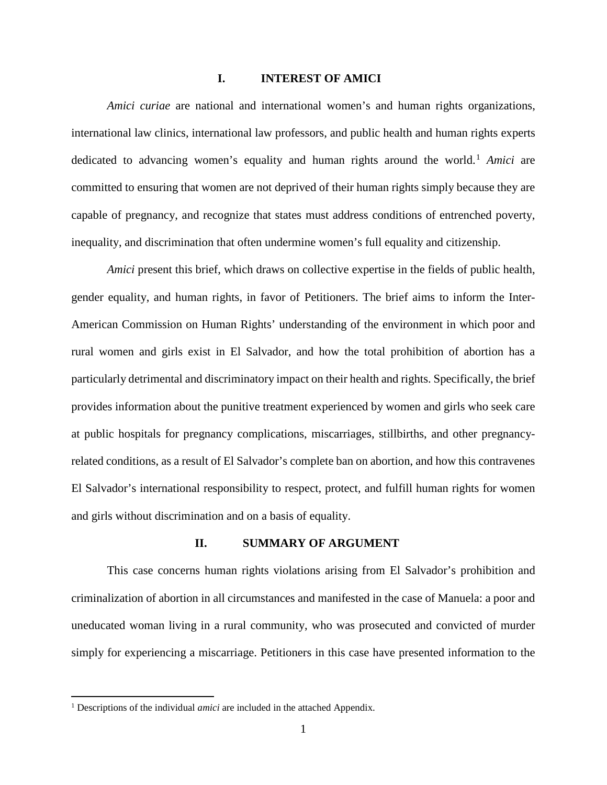## **I. INTEREST OF AMICI**

<span id="page-11-0"></span>*Amici curiae* are national and international women's and human rights organizations, international law clinics, international law professors, and public health and human rights experts dedicated to advancing women's equality and human rights around the world.<sup>[1](#page-11-2)</sup> *Amici* are committed to ensuring that women are not deprived of their human rights simply because they are capable of pregnancy, and recognize that states must address conditions of entrenched poverty, inequality, and discrimination that often undermine women's full equality and citizenship.

*Amici* present this brief, which draws on collective expertise in the fields of public health, gender equality, and human rights, in favor of Petitioners. The brief aims to inform the Inter-American Commission on Human Rights' understanding of the environment in which poor and rural women and girls exist in El Salvador, and how the total prohibition of abortion has a particularly detrimental and discriminatory impact on their health and rights. Specifically, the brief provides information about the punitive treatment experienced by women and girls who seek care at public hospitals for pregnancy complications, miscarriages, stillbirths, and other pregnancyrelated conditions, as a result of El Salvador's complete ban on abortion, and how this contravenes El Salvador's international responsibility to respect, protect, and fulfill human rights for women and girls without discrimination and on a basis of equality.

#### **II. SUMMARY OF ARGUMENT**

<span id="page-11-1"></span>This case concerns human rights violations arising from El Salvador's prohibition and criminalization of abortion in all circumstances and manifested in the case of Manuela: a poor and uneducated woman living in a rural community, who was prosecuted and convicted of murder simply for experiencing a miscarriage. Petitioners in this case have presented information to the

<span id="page-11-2"></span><sup>&</sup>lt;sup>1</sup> Descriptions of the individual *amici* are included in the attached Appendix.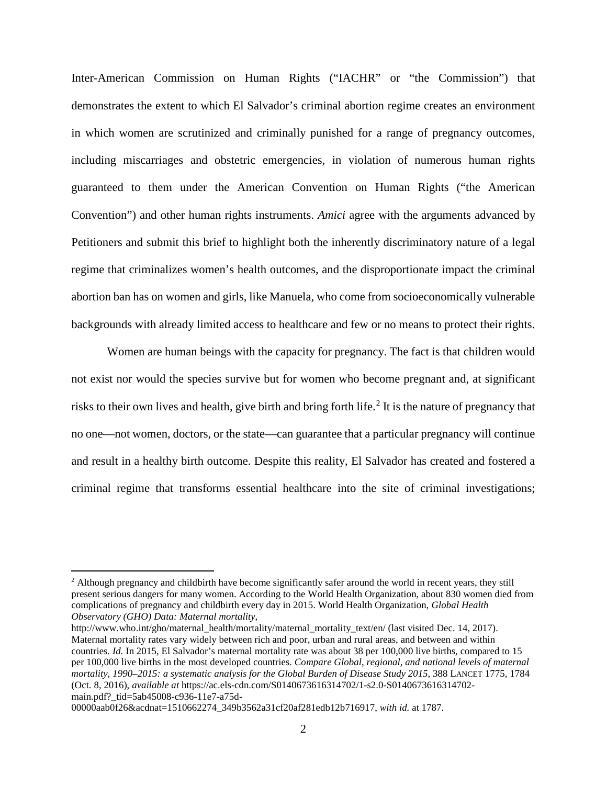Inter-American Commission on Human Rights ("IACHR" or "the Commission") that demonstrates the extent to which El Salvador's criminal abortion regime creates an environment in which women are scrutinized and criminally punished for a range of pregnancy outcomes, including miscarriages and obstetric emergencies, in violation of numerous human rights guaranteed to them under the American Convention on Human Rights ("the American Convention") and other human rights instruments. *Amici* agree with the arguments advanced by Petitioners and submit this brief to highlight both the inherently discriminatory nature of a legal regime that criminalizes women's health outcomes, and the disproportionate impact the criminal abortion ban has on women and girls, like Manuela, who come from socioeconomically vulnerable backgrounds with already limited access to healthcare and few or no means to protect their rights.

Women are human beings with the capacity for pregnancy. The fact is that children would not exist nor would the species survive but for women who become pregnant and, at significant risks to their own lives and health, give birth and bring forth life.<sup>[2](#page-12-0)</sup> It is the nature of pregnancy that no one—not women, doctors, or the state—can guarantee that a particular pregnancy will continue and result in a healthy birth outcome. Despite this reality, El Salvador has created and fostered a criminal regime that transforms essential healthcare into the site of criminal investigations;

http://www.who.int/gho/maternal\_health/mortality/maternal\_mortality\_text/en/ (last visited Dec. 14, 2017). Maternal mortality rates vary widely between rich and poor, urban and rural areas, and between and within countries. *Id.* In 2015, El Salvador's maternal mortality rate was about 38 per 100,000 live births, compared to 15 per 100,000 live births in the most developed countries. *Compare Global, regional, and national levels of maternal mortality, 1990–2015: a systematic analysis for the Global Burden of Disease Study 2015*, 388 LANCET 1775, 1784 (Oct. 8, 2016), *available at* https://ac.els-cdn.com/S0140673616314702/1-s2.0-S0140673616314702 main.pdf?\_tid=5ab45008-c936-11e7-a75d-

00000aab0f26&acdnat=1510662274\_349b3562a31cf20af281edb12b716917, *with id.* at 1787.

<span id="page-12-0"></span><sup>&</sup>lt;sup>2</sup> Although pregnancy and childbirth have become significantly safer around the world in recent years, they still present serious dangers for many women. According to the World Health Organization, about 830 women died from complications of pregnancy and childbirth every day in 2015. World Health Organization, *Global Health Observatory (GHO) Data: Maternal mortality*,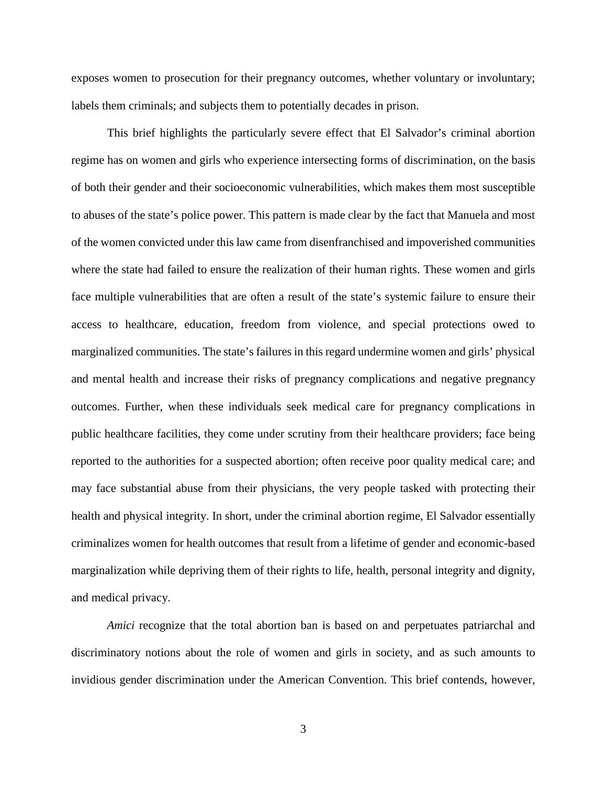exposes women to prosecution for their pregnancy outcomes, whether voluntary or involuntary; labels them criminals; and subjects them to potentially decades in prison.

This brief highlights the particularly severe effect that El Salvador's criminal abortion regime has on women and girls who experience intersecting forms of discrimination, on the basis of both their gender and their socioeconomic vulnerabilities, which makes them most susceptible to abuses of the state's police power. This pattern is made clear by the fact that Manuela and most of the women convicted under this law came from disenfranchised and impoverished communities where the state had failed to ensure the realization of their human rights. These women and girls face multiple vulnerabilities that are often a result of the state's systemic failure to ensure their access to healthcare, education, freedom from violence, and special protections owed to marginalized communities. The state's failures in this regard undermine women and girls' physical and mental health and increase their risks of pregnancy complications and negative pregnancy outcomes. Further, when these individuals seek medical care for pregnancy complications in public healthcare facilities, they come under scrutiny from their healthcare providers; face being reported to the authorities for a suspected abortion; often receive poor quality medical care; and may face substantial abuse from their physicians, the very people tasked with protecting their health and physical integrity. In short, under the criminal abortion regime, El Salvador essentially criminalizes women for health outcomes that result from a lifetime of gender and economic-based marginalization while depriving them of their rights to life, health, personal integrity and dignity, and medical privacy.

*Amici* recognize that the total abortion ban is based on and perpetuates patriarchal and discriminatory notions about the role of women and girls in society, and as such amounts to invidious gender discrimination under the American Convention. This brief contends, however,

3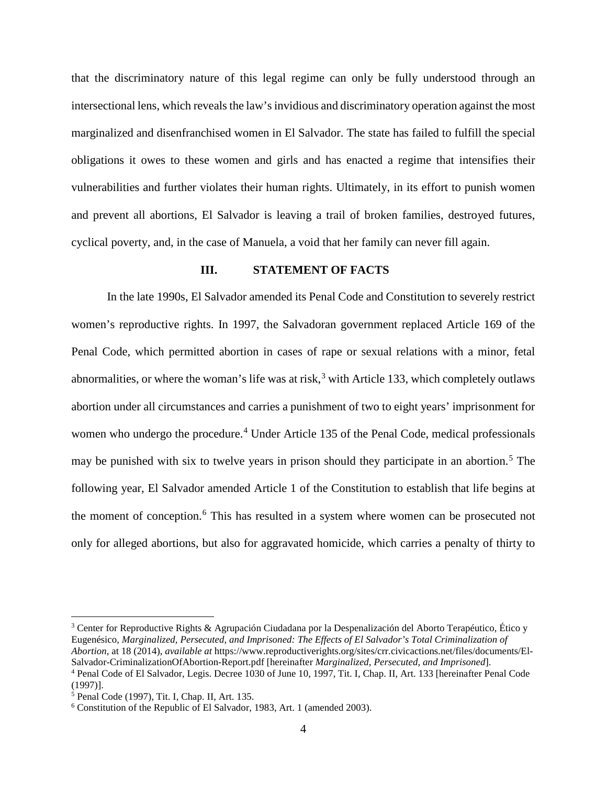that the discriminatory nature of this legal regime can only be fully understood through an intersectional lens, which reveals the law's invidious and discriminatory operation against the most marginalized and disenfranchised women in El Salvador. The state has failed to fulfill the special obligations it owes to these women and girls and has enacted a regime that intensifies their vulnerabilities and further violates their human rights. Ultimately, in its effort to punish women and prevent all abortions, El Salvador is leaving a trail of broken families, destroyed futures, cyclical poverty, and, in the case of Manuela, a void that her family can never fill again.

#### **III. STATEMENT OF FACTS**

<span id="page-14-0"></span>In the late 1990s, El Salvador amended its Penal Code and Constitution to severely restrict women's reproductive rights. In 1997, the Salvadoran government replaced Article 169 of the Penal Code, which permitted abortion in cases of rape or sexual relations with a minor, fetal abnormalities, or where the woman's life was at risk,  $3$  with Article 133, which completely outlaws abortion under all circumstances and carries a punishment of two to eight years' imprisonment for women who undergo the procedure.<sup>[4](#page-14-2)</sup> Under Article 135 of the Penal Code, medical professionals may be punished with six to twelve years in prison should they participate in an abortion.<sup>[5](#page-14-3)</sup> The following year, El Salvador amended Article 1 of the Constitution to establish that life begins at the moment of conception.<sup>[6](#page-14-4)</sup> This has resulted in a system where women can be prosecuted not only for alleged abortions, but also for aggravated homicide, which carries a penalty of thirty to

<span id="page-14-1"></span><sup>3</sup> Center for Reproductive Rights & Agrupación Ciudadana por la Despenalización del Aborto Terapéutico, Ético y Eugenésico, *Marginalized, Persecuted, and Imprisoned: The Effects of El Salvador's Total Criminalization of Abortion*, at 18 (2014), *available at* https://www.reproductiverights.org/sites/crr.civicactions.net/files/documents/El-Salvador-CriminalizationOfAbortion-Report.pdf [hereinafter *Marginalized, Persecuted, and Imprisoned*].

<span id="page-14-2"></span><sup>4</sup> Penal Code of El Salvador, Legis. Decree 1030 of June 10, 1997, Tit. I, Chap. II, Art. 133 [hereinafter Penal Code (1997)].

<span id="page-14-3"></span><sup>5</sup> Penal Code (1997), Tit. I, Chap. II, Art. 135.

<span id="page-14-4"></span><sup>6</sup> Constitution of the Republic of El Salvador, 1983, Art. 1 (amended 2003).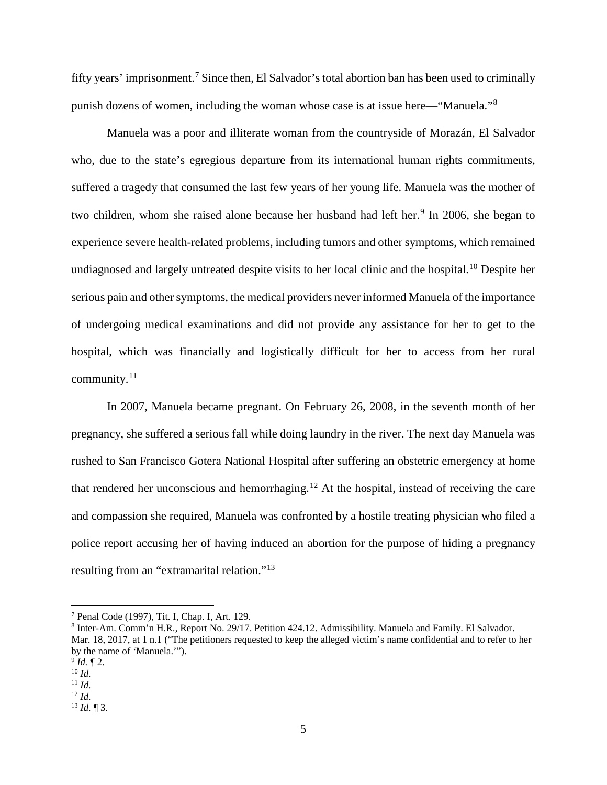fifty years' imprisonment.<sup>[7](#page-15-0)</sup> Since then, El Salvador's total abortion ban has been used to criminally punish dozens of women, including the woman whose case is at issue here—"Manuela."[8](#page-15-1)

Manuela was a poor and illiterate woman from the countryside of Morazán, El Salvador who, due to the state's egregious departure from its international human rights commitments, suffered a tragedy that consumed the last few years of her young life. Manuela was the mother of two children, whom she raised alone because her husband had left her.<sup>[9](#page-15-2)</sup> In 2006, she began to experience severe health-related problems, including tumors and other symptoms, which remained undiagnosed and largely untreated despite visits to her local clinic and the hospital.<sup>[10](#page-15-3)</sup> Despite her serious pain and other symptoms, the medical providers never informed Manuela of the importance of undergoing medical examinations and did not provide any assistance for her to get to the hospital, which was financially and logistically difficult for her to access from her rural community. $11$ 

In 2007, Manuela became pregnant. On February 26, 2008, in the seventh month of her pregnancy, she suffered a serious fall while doing laundry in the river. The next day Manuela was rushed to San Francisco Gotera National Hospital after suffering an obstetric emergency at home that rendered her unconscious and hemorrhaging.<sup>[12](#page-15-5)</sup> At the hospital, instead of receiving the care and compassion she required, Manuela was confronted by a hostile treating physician who filed a police report accusing her of having induced an abortion for the purpose of hiding a pregnancy resulting from an "extramarital relation."<sup>[13](#page-15-6)</sup>

<span id="page-15-0"></span><sup>7</sup> Penal Code (1997), Tit. I, Chap. I, Art. 129.

<span id="page-15-1"></span><sup>8</sup> Inter-Am. Comm'n H.R., Report No. 29/17. Petition 424.12. Admissibility. Manuela and Family. El Salvador. Mar. 18, 2017, at 1 n.1 ("The petitioners requested to keep the alleged victim's name confidential and to refer to her by the name of 'Manuela.'").

<span id="page-15-2"></span> $^{9}$  *Id.*  $\llap{[}92$ .

<span id="page-15-3"></span><sup>10</sup> *Id.*

<span id="page-15-4"></span><sup>11</sup> *Id.*

<span id="page-15-5"></span><sup>12</sup> *Id.*

<span id="page-15-6"></span><sup>13</sup> *Id.* ¶ 3.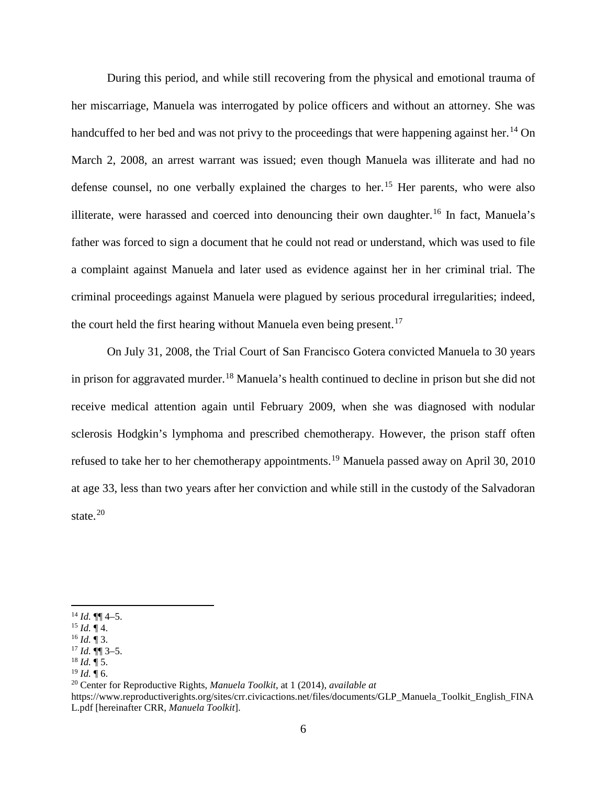During this period, and while still recovering from the physical and emotional trauma of her miscarriage, Manuela was interrogated by police officers and without an attorney. She was handcuffed to her bed and was not privy to the proceedings that were happening against her.<sup>[14](#page-16-0)</sup> On March 2, 2008, an arrest warrant was issued; even though Manuela was illiterate and had no defense counsel, no one verbally explained the charges to her.<sup>[15](#page-16-1)</sup> Her parents, who were also illiterate, were harassed and coerced into denouncing their own daughter.<sup>[16](#page-16-2)</sup> In fact, Manuela's father was forced to sign a document that he could not read or understand, which was used to file a complaint against Manuela and later used as evidence against her in her criminal trial. The criminal proceedings against Manuela were plagued by serious procedural irregularities; indeed, the court held the first hearing without Manuela even being present.<sup>[17](#page-16-3)</sup>

On July 31, 2008, the Trial Court of San Francisco Gotera convicted Manuela to 30 years in prison for aggravated murder.<sup>[18](#page-16-4)</sup> Manuela's health continued to decline in prison but she did not receive medical attention again until February 2009, when she was diagnosed with nodular sclerosis Hodgkin's lymphoma and prescribed chemotherapy. However, the prison staff often refused to take her to her chemotherapy appointments.<sup>[19](#page-16-5)</sup> Manuela passed away on April 30, 2010 at age 33, less than two years after her conviction and while still in the custody of the Salvadoran state.<sup>[20](#page-16-6)</sup>

 $\overline{a}$ 

<sup>20</sup> Center for Reproductive Rights, *Manuela Toolkit*, at 1 (2014), *available at*

<span id="page-16-6"></span>https://www.reproductiverights.org/sites/crr.civicactions.net/files/documents/GLP\_Manuela\_Toolkit\_English\_FINA L.pdf [hereinafter CRR, *Manuela Toolkit*].

<span id="page-16-0"></span> $^{14}$  *Id.* ¶¶ 4–5.

<span id="page-16-1"></span> $^{15}$  *Id.* ¶ 4.

<span id="page-16-2"></span> $^{16}$  *Id.*  $\overline{9}$  3.

<span id="page-16-3"></span> $17$  *Id.*  $\P\P$  3–5.  $^{18}$  *Id.* ¶ 5.

<span id="page-16-5"></span><span id="page-16-4"></span> $^{19}$  *Id.*  $\overline{9}$  6.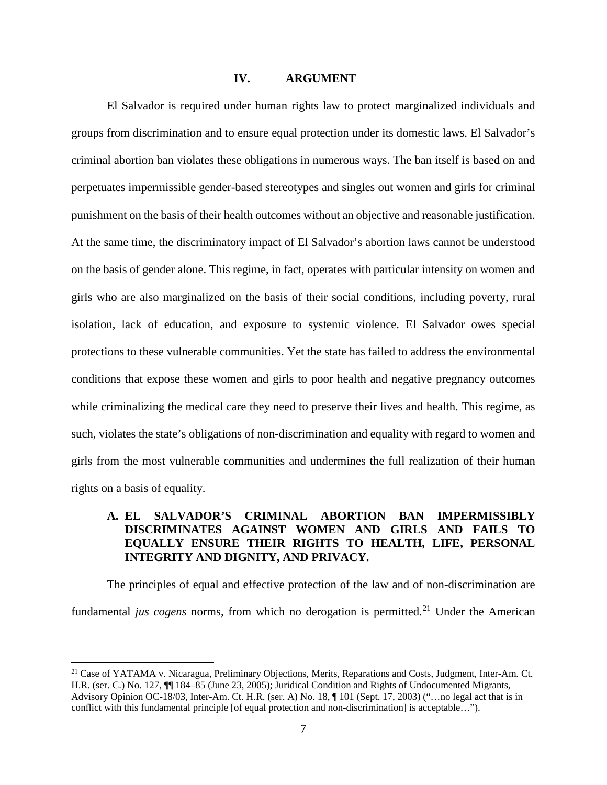### **IV. ARGUMENT**

<span id="page-17-0"></span>El Salvador is required under human rights law to protect marginalized individuals and groups from discrimination and to ensure equal protection under its domestic laws. El Salvador's criminal abortion ban violates these obligations in numerous ways. The ban itself is based on and perpetuates impermissible gender-based stereotypes and singles out women and girls for criminal punishment on the basis of their health outcomes without an objective and reasonable justification. At the same time, the discriminatory impact of El Salvador's abortion laws cannot be understood on the basis of gender alone. This regime, in fact, operates with particular intensity on women and girls who are also marginalized on the basis of their social conditions, including poverty, rural isolation, lack of education, and exposure to systemic violence. El Salvador owes special protections to these vulnerable communities. Yet the state has failed to address the environmental conditions that expose these women and girls to poor health and negative pregnancy outcomes while criminalizing the medical care they need to preserve their lives and health. This regime, as such, violates the state's obligations of non-discrimination and equality with regard to women and girls from the most vulnerable communities and undermines the full realization of their human rights on a basis of equality.

## <span id="page-17-1"></span>**A. EL SALVADOR'S CRIMINAL ABORTION BAN IMPERMISSIBLY DISCRIMINATES AGAINST WOMEN AND GIRLS AND FAILS TO EQUALLY ENSURE THEIR RIGHTS TO HEALTH, LIFE, PERSONAL INTEGRITY AND DIGNITY, AND PRIVACY.**

The principles of equal and effective protection of the law and of non-discrimination are fundamental *jus cogens* norms, from which no derogation is permitted.<sup>[21](#page-17-2)</sup> Under the American

<span id="page-17-2"></span><sup>&</sup>lt;sup>21</sup> Case of YATAMA v. Nicaragua, Preliminary Objections, Merits, Reparations and Costs, Judgment, Inter-Am. Ct. H.R. (ser. C.) No. 127, ¶¶ 184–85 (June 23, 2005); Juridical Condition and Rights of Undocumented Migrants, Advisory Opinion OC-18/03, Inter-Am. Ct. H.R. (ser. A) No. 18, ¶ 101 (Sept. 17, 2003) ("…no legal act that is in conflict with this fundamental principle [of equal protection and non-discrimination] is acceptable...").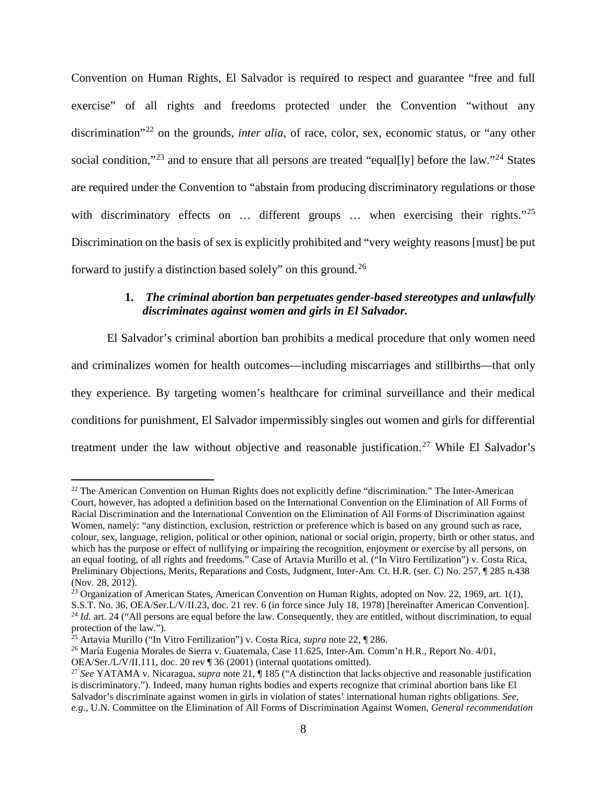Convention on Human Rights, El Salvador is required to respect and guarantee "free and full exercise" of all rights and freedoms protected under the Convention "without any discrimination<sup>"[22](#page-18-1)</sup> on the grounds, *inter alia*, of race, color, sex, economic status, or "any other social condition,"<sup>[23](#page-18-2)</sup> and to ensure that all persons are treated "equal[ly] before the law."<sup>[24](#page-18-3)</sup> States are required under the Convention to "abstain from producing discriminatory regulations or those with discriminatory effects on ... different groups ... when exercising their rights."<sup>[25](#page-18-4)</sup> Discrimination on the basis of sex is explicitly prohibited and "very weighty reasons [must] be put forward to justify a distinction based solely" on this ground.[26](#page-18-5)

## <span id="page-18-0"></span>**1.** *The criminal abortion ban perpetuates gender-based stereotypes and unlawfully discriminates against women and girls in El Salvador.*

El Salvador's criminal abortion ban prohibits a medical procedure that only women need and criminalizes women for health outcomes—including miscarriages and stillbirths—that only they experience. By targeting women's healthcare for criminal surveillance and their medical conditions for punishment, El Salvador impermissibly singles out women and girls for differential treatment under the law without objective and reasonable justification.<sup>[27](#page-18-6)</sup> While El Salvador's

<span id="page-18-1"></span><sup>&</sup>lt;sup>22</sup> The American Convention on Human Rights does not explicitly define "discrimination." The Inter-American Court, however, has adopted a definition based on the International Convention on the Elimination of All Forms of Racial Discrimination and the International Convention on the Elimination of All Forms of Discrimination against Women, namely: "any distinction, exclusion, restriction or preference which is based on any ground such as race, colour, sex, language, religion, political or other opinion, national or social origin, property, birth or other status, and which has the purpose or effect of nullifying or impairing the recognition, enjoyment or exercise by all persons, on an equal footing, of all rights and freedoms." Case of Artavia Murillo et al. ("In Vitro Fertilization") v. Costa Rica, Preliminary Objections, Merits, Reparations and Costs, Judgment, Inter-Am. Ct. H.R. (ser. C) No. 257, ¶ 285 n.438 (Nov. 28, 2012).

<span id="page-18-2"></span><sup>&</sup>lt;sup>23</sup> Organization of American States, American Convention on Human Rights, adopted on Nov. 22, 1969, art. 1(1), S.S.T. No. 36, OEA/Ser.L/V/II.23, doc. 21 rev. 6 (in force since July 18, 1978) [hereinafter American Convention]. <sup>24</sup> *Id.* art. 24 ("All persons are equal before the law. Consequently, they are entitled, without discrimination, to equal

<span id="page-18-3"></span>protection of the law.").<br><sup>25</sup> Artavia Murillo ("In Vitro Fertilization") v. Costa Rica, *supra* note 22, ¶ 286.

<span id="page-18-5"></span><span id="page-18-4"></span><sup>&</sup>lt;sup>26</sup> María Eugenia Morales de Sierra v. Guatemala, Case 11.625, Inter-Am. Comm'n H.R., Report No. 4/01,

OEA/Ser./L/V/II.111, doc. 20 rev ¶ 36 (2001) (internal quotations omitted).

<span id="page-18-6"></span><sup>27</sup> *See* YATAMA v. Nicaragua, *supra* note 21, ¶ 185 ("A distinction that lacks objective and reasonable justification is discriminatory."). Indeed, many human rights bodies and experts recognize that criminal abortion bans like El Salvador's discriminate against women in girls in violation of states' international human rights obligations. *See, e.g.*, U.N. Committee on the Elimination of All Forms of Discrimination Against Women, *General recommendation*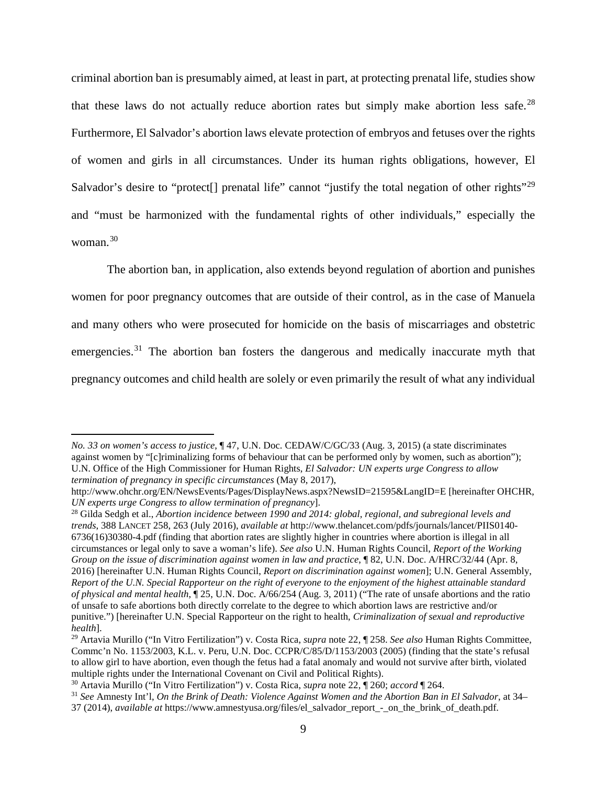criminal abortion ban is presumably aimed, at least in part, at protecting prenatal life, studies show that these laws do not actually reduce abortion rates but simply make abortion less safe.<sup>[28](#page-19-0)</sup> Furthermore, El Salvador's abortion laws elevate protection of embryos and fetuses over the rights of women and girls in all circumstances. Under its human rights obligations, however, El Salvador's desire to "protect[] prenatal life" cannot "justify the total negation of other rights"<sup>[29](#page-19-1)</sup> and "must be harmonized with the fundamental rights of other individuals," especially the woman.[30](#page-19-2)

The abortion ban, in application, also extends beyond regulation of abortion and punishes women for poor pregnancy outcomes that are outside of their control, as in the case of Manuela and many others who were prosecuted for homicide on the basis of miscarriages and obstetric emergencies.<sup>[31](#page-19-3)</sup> The abortion ban fosters the dangerous and medically inaccurate myth that pregnancy outcomes and child health are solely or even primarily the result of what any individual

*No. 33 on women's access to justice*, ¶ 47, U.N. Doc. CEDAW/C/GC/33 (Aug. 3, 2015) (a state discriminates against women by "[c]riminalizing forms of behaviour that can be performed only by women, such as abortion"); U.N. Office of the High Commissioner for Human Rights, *El Salvador: UN experts urge Congress to allow termination of pregnancy in specific circumstances* (May 8, 2017),

http://www.ohchr.org/EN/NewsEvents/Pages/DisplayNews.aspx?NewsID=21595&LangID=E [hereinafter OHCHR, *UN experts urge Congress to allow termination of pregnancy*].

<span id="page-19-0"></span><sup>28</sup> Gilda Sedgh et al., *Abortion incidence between 1990 and 2014: global, regional, and subregional levels and trends*, 388 LANCET 258, 263 (July 2016), *available at* http://www.thelancet.com/pdfs/journals/lancet/PIIS0140- 6736(16)30380-4.pdf (finding that abortion rates are slightly higher in countries where abortion is illegal in all circumstances or legal only to save a woman's life). *See also* U.N. Human Rights Council, *Report of the Working Group on the issue of discrimination against women in law and practice*, ¶ 82, U.N. Doc. A/HRC/32/44 (Apr. 8, 2016) [hereinafter U.N. Human Rights Council, *Report on discrimination against women*]; U.N. General Assembly, *Report of the U.N. Special Rapporteur on the right of everyone to the enjoyment of the highest attainable standard of physical and mental health*, ¶ 25, U.N. Doc. A/66/254 (Aug. 3, 2011) ("The rate of unsafe abortions and the ratio of unsafe to safe abortions both directly correlate to the degree to which abortion laws are restrictive and/or punitive.") [hereinafter U.N. Special Rapporteur on the right to health, *Criminalization of sexual and reproductive health*].

<span id="page-19-1"></span><sup>29</sup> Artavia Murillo ("In Vitro Fertilization") v. Costa Rica, *supra* note 22, ¶ 258. *See also* Human Rights Committee, Commc'n No. 1153/2003, K.L. v. Peru, U.N. Doc. CCPR/C/85/D/1153/2003 (2005) (finding that the state's refusal to allow girl to have abortion, even though the fetus had a fatal anomaly and would not survive after birth, violated multiple rights under the International Covenant on Civil and Political Rights).

<span id="page-19-2"></span><sup>30</sup> Artavia Murillo ("In Vitro Fertilization") v. Costa Rica, *supra* note 22, ¶ 260; *accord* ¶ 264.

<span id="page-19-3"></span><sup>31</sup> *See* Amnesty Int'l, *On the Brink of Death: Violence Against Women and the Abortion Ban in El Salvador*, at 34– 37 (2014), *available at* https://www.amnestyusa.org/files/el\_salvador\_report\_-\_on\_the\_brink\_of\_death.pdf.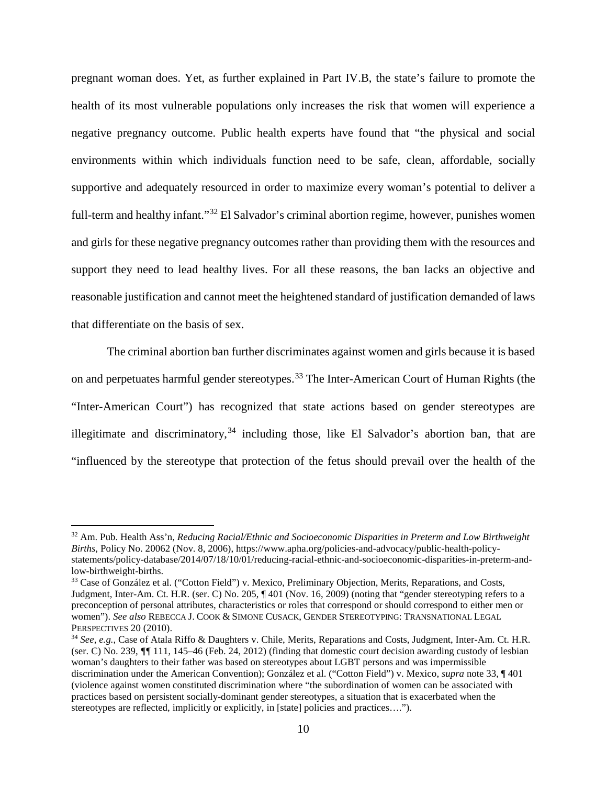pregnant woman does. Yet, as further explained in Part IV.B, the state's failure to promote the health of its most vulnerable populations only increases the risk that women will experience a negative pregnancy outcome. Public health experts have found that "the physical and social environments within which individuals function need to be safe, clean, affordable, socially supportive and adequately resourced in order to maximize every woman's potential to deliver a full-term and healthy infant."[32](#page-20-0) El Salvador's criminal abortion regime, however, punishes women and girls for these negative pregnancy outcomes rather than providing them with the resources and support they need to lead healthy lives. For all these reasons, the ban lacks an objective and reasonable justification and cannot meet the heightened standard of justification demanded of laws that differentiate on the basis of sex.

The criminal abortion ban further discriminates against women and girls because it is based on and perpetuates harmful gender stereotypes.<sup>[33](#page-20-1)</sup> The Inter-American Court of Human Rights (the "Inter-American Court") has recognized that state actions based on gender stereotypes are illegitimate and discriminatory,  $34$  including those, like El Salvador's abortion ban, that are "influenced by the stereotype that protection of the fetus should prevail over the health of the

<span id="page-20-0"></span><sup>32</sup> Am. Pub. Health Ass'n, *Reducing Racial/Ethnic and Socioeconomic Disparities in Preterm and Low Birthweight Births*, Policy No. 20062 (Nov. 8, 2006), https://www.apha.org/policies-and-advocacy/public-health-policystatements/policy-database/2014/07/18/10/01/reducing-racial-ethnic-and-socioeconomic-disparities-in-preterm-andlow-birthweight-births.

<span id="page-20-1"></span><sup>&</sup>lt;sup>33</sup> Case of González et al. ("Cotton Field") v. Mexico, Preliminary Objection, Merits, Reparations, and Costs, Judgment, Inter-Am. Ct. H.R. (ser. C) No. 205, ¶ 401 (Nov. 16, 2009) (noting that "gender stereotyping refers to a preconception of personal attributes, characteristics or roles that correspond or should correspond to either men or women"). *See also* REBECCA J. COOK & SIMONE CUSACK, GENDER STEREOTYPING: TRANSNATIONAL LEGAL PERSPECTIVES 20 (2010).

<span id="page-20-2"></span><sup>&</sup>lt;sup>34</sup> *See, e.g.*, Case of Atala Riffo & Daughters v. Chile, Merits, Reparations and Costs, Judgment, Inter-Am. Ct. H.R. (ser. C) No. 239, *¶¶* 111, 145–46 (Feb. 24, 2012) (finding that domestic court decision awarding custody of lesbian woman's daughters to their father was based on stereotypes about LGBT persons and was impermissible discrimination under the American Convention); González et al. ("Cotton Field") v. Mexico, *supra* note 33, ¶ 401 (violence against women constituted discrimination where "the subordination of women can be associated with practices based on persistent socially-dominant gender stereotypes, a situation that is exacerbated when the stereotypes are reflected, implicitly or explicitly, in [state] policies and practices….").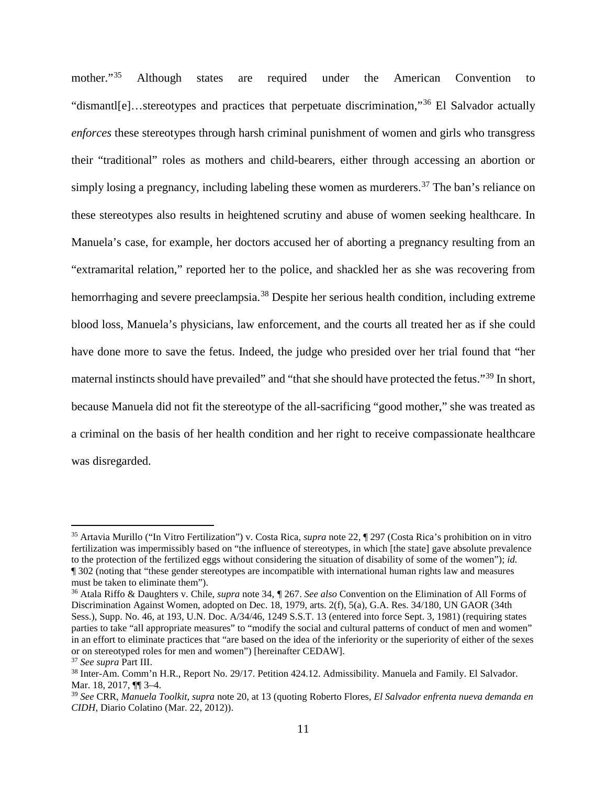mother."<sup>[35](#page-21-0)</sup> Although states are required under the American Convention to "dismantl[e]…stereotypes and practices that perpetuate discrimination,"[36](#page-21-1) El Salvador actually *enforces* these stereotypes through harsh criminal punishment of women and girls who transgress their "traditional" roles as mothers and child-bearers, either through accessing an abortion or simply losing a pregnancy, including labeling these women as murderers.<sup>[37](#page-21-2)</sup> The ban's reliance on these stereotypes also results in heightened scrutiny and abuse of women seeking healthcare. In Manuela's case, for example, her doctors accused her of aborting a pregnancy resulting from an "extramarital relation," reported her to the police, and shackled her as she was recovering from hemorrhaging and severe preeclampsia.<sup>[38](#page-21-3)</sup> Despite her serious health condition, including extreme blood loss, Manuela's physicians, law enforcement, and the courts all treated her as if she could have done more to save the fetus. Indeed, the judge who presided over her trial found that "her maternal instincts should have prevailed" and "that she should have protected the fetus."<sup>[39](#page-21-4)</sup> In short, because Manuela did not fit the stereotype of the all-sacrificing "good mother," she was treated as a criminal on the basis of her health condition and her right to receive compassionate healthcare was disregarded.

<span id="page-21-0"></span><sup>35</sup> Artavia Murillo ("In Vitro Fertilization") v. Costa Rica, *supra* note 22, ¶ 297 (Costa Rica's prohibition on in vitro fertilization was impermissibly based on "the influence of stereotypes, in which [the state] gave absolute prevalence to the protection of the fertilized eggs without considering the situation of disability of some of the women"); *id.* ¶ 302 (noting that "these gender stereotypes are incompatible with international human rights law and measures must be taken to eliminate them").

<span id="page-21-1"></span><sup>36</sup> Atala Riffo & Daughters v. Chile, *supra* note 34, *¶* 267. *See also* Convention on the Elimination of All Forms of Discrimination Against Women, adopted on Dec. 18, 1979, arts. 2(f), 5(a), G.A. Res. 34/180, UN GAOR (34th Sess.), Supp. No. 46, at 193, U.N. Doc. A/34/46, 1249 S.S.T. 13 (entered into force Sept. 3, 1981) (requiring states parties to take "all appropriate measures" to "modify the social and cultural patterns of conduct of men and women" in an effort to eliminate practices that "are based on the idea of the inferiority or the superiority of either of the sexes or on stereotyped roles for men and women") [hereinafter CEDAW].

<span id="page-21-2"></span><sup>37</sup> *See supra* Part III.

<span id="page-21-3"></span><sup>38</sup> Inter-Am. Comm'n H.R., Report No. 29/17. Petition 424.12. Admissibility. Manuela and Family. El Salvador. Mar. 18, 2017, ¶¶ 3–4.

<span id="page-21-4"></span><sup>39</sup> *See* CRR, *Manuela Toolkit*, *supra* note 20, at 13 (quoting Roberto Flores, *El Salvador enfrenta nueva demanda en CIDH*, Diario Colatino (Mar. 22, 2012)).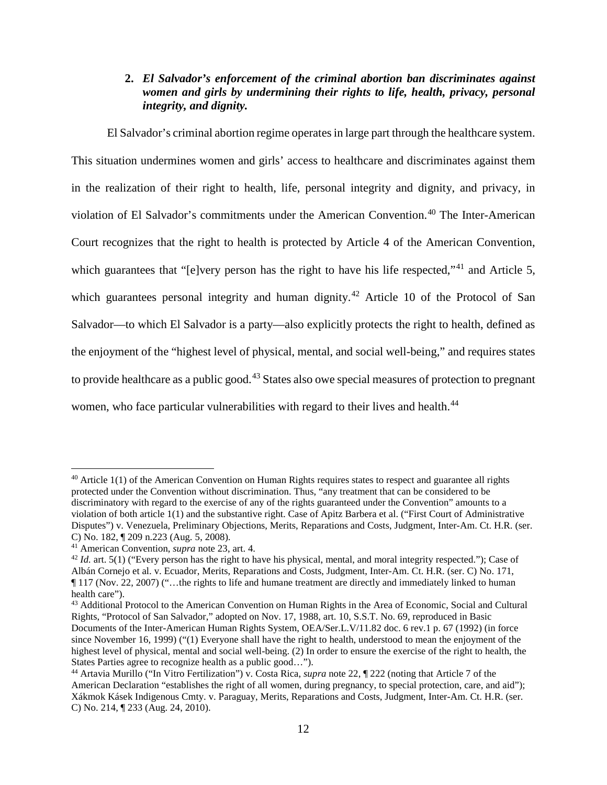## <span id="page-22-0"></span>**2.** *El Salvador's enforcement of the criminal abortion ban discriminates against women and girls by undermining their rights to life, health, privacy, personal integrity, and dignity.*

El Salvador's criminal abortion regime operates in large part through the healthcare system. This situation undermines women and girls' access to healthcare and discriminates against them in the realization of their right to health, life, personal integrity and dignity, and privacy, in violation of El Salvador's commitments under the American Convention.<sup>[40](#page-22-1)</sup> The Inter-American Court recognizes that the right to health is protected by Article 4 of the American Convention, which guarantees that "[e]very person has the right to have his life respected,"<sup>[41](#page-22-2)</sup> and Article 5, which guarantees personal integrity and human dignity.<sup>[42](#page-22-3)</sup> Article 10 of the Protocol of San Salvador—to which El Salvador is a party—also explicitly protects the right to health, defined as the enjoyment of the "highest level of physical, mental, and social well-being," and requires states to provide healthcare as a public good.<sup>[43](#page-22-4)</sup> States also owe special measures of protection to pregnant women, who face particular vulnerabilities with regard to their lives and health.<sup>[44](#page-22-5)</sup>

<span id="page-22-1"></span> $40$  Article 1(1) of the American Convention on Human Rights requires states to respect and guarantee all rights protected under the Convention without discrimination. Thus, "any treatment that can be considered to be discriminatory with regard to the exercise of any of the rights guaranteed under the Convention" amounts to a violation of both article 1(1) and the substantive right. Case of Apitz Barbera et al. ("First Court of Administrative Disputes") v. Venezuela, Preliminary Objections, Merits, Reparations and Costs, Judgment, Inter-Am. Ct. H.R. (ser. C) No. 182, ¶ 209 n.223 (Aug. 5, 2008).<br><sup>41</sup> American Convention, *supra* note 23, art. 4.

<span id="page-22-2"></span>

<span id="page-22-3"></span><sup>&</sup>lt;sup>42</sup> *Id.* art. 5(1) ("Every person has the right to have his physical, mental, and moral integrity respected."); Case of Albán Cornejo et al. v. Ecuador, Merits, Reparations and Costs, Judgment, Inter-Am. Ct. H.R. (ser. C) No. 171, ¶ 117 (Nov. 22, 2007) ("…the rights to life and humane treatment are directly and immediately linked to human health care").

<span id="page-22-4"></span><sup>43</sup> Additional Protocol to the American Convention on Human Rights in the Area of Economic, Social and Cultural Rights, "Protocol of San Salvador," adopted on Nov. 17, 1988, art. 10, S.S.T. No. 69, reproduced in Basic Documents of the Inter-American Human Rights System, OEA/Ser.L.V/11.82 doc. 6 rev.1 p. 67 (1992) (in force since November 16, 1999) ("(1) Everyone shall have the right to health, understood to mean the enjoyment of the highest level of physical, mental and social well-being. (2) In order to ensure the exercise of the right to health, the States Parties agree to recognize health as a public good…").

<span id="page-22-5"></span><sup>44</sup> Artavia Murillo ("In Vitro Fertilization") v. Costa Rica, *supra* note 22, ¶ 222 (noting that Article 7 of the American Declaration "establishes the right of all women, during pregnancy, to special protection, care, and aid"); Xákmok Kásek Indigenous Cmty. v. Paraguay, Merits, Reparations and Costs, Judgment, Inter-Am. Ct. H.R. (ser. C) No. 214, ¶ 233 (Aug. 24, 2010).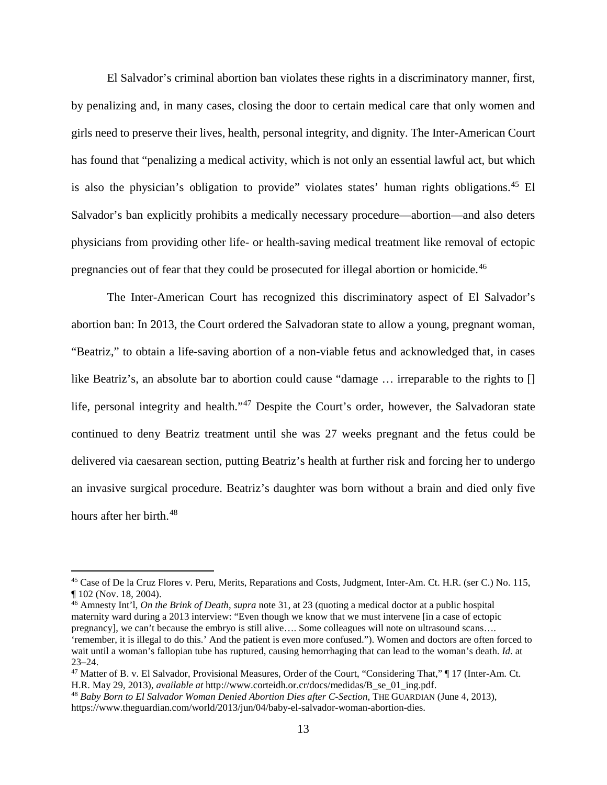El Salvador's criminal abortion ban violates these rights in a discriminatory manner, first, by penalizing and, in many cases, closing the door to certain medical care that only women and girls need to preserve their lives, health, personal integrity, and dignity. The Inter-American Court has found that "penalizing a medical activity, which is not only an essential lawful act, but which is also the physician's obligation to provide" violates states' human rights obligations.<sup>[45](#page-23-0)</sup> El Salvador's ban explicitly prohibits a medically necessary procedure—abortion—and also deters physicians from providing other life- or health-saving medical treatment like removal of ectopic pregnancies out of fear that they could be prosecuted for illegal abortion or homicide.[46](#page-23-1)

The Inter-American Court has recognized this discriminatory aspect of El Salvador's abortion ban: In 2013, the Court ordered the Salvadoran state to allow a young, pregnant woman, "Beatriz," to obtain a life-saving abortion of a non-viable fetus and acknowledged that, in cases like Beatriz's, an absolute bar to abortion could cause "damage ... irreparable to the rights to [] life, personal integrity and health."<sup>[47](#page-23-2)</sup> Despite the Court's order, however, the Salvadoran state continued to deny Beatriz treatment until she was 27 weeks pregnant and the fetus could be delivered via caesarean section, putting Beatriz's health at further risk and forcing her to undergo an invasive surgical procedure. Beatriz's daughter was born without a brain and died only five hours after her birth.<sup>[48](#page-23-3)</sup>

 $\overline{a}$ 

<span id="page-23-1"></span><sup>46</sup> Amnesty Int'l, *On the Brink of Death*, *supra* note 31, at 23 (quoting a medical doctor at a public hospital maternity ward during a 2013 interview: "Even though we know that we must intervene [in a case of ectopic pregnancy], we can't because the embryo is still alive…. Some colleagues will note on ultrasound scans…. 'remember, it is illegal to do this.' And the patient is even more confused."). Women and doctors are often forced to wait until a woman's fallopian tube has ruptured, causing hemorrhaging that can lead to the woman's death. *Id.* at 23–24.

<span id="page-23-0"></span><sup>45</sup> Case of De la Cruz Flores v. Peru, Merits, Reparations and Costs, Judgment, Inter-Am. Ct. H.R. (ser C.) No. 115, ¶ 102 (Nov. 18, 2004).

<span id="page-23-2"></span><sup>47</sup> Matter of B. v. El Salvador, Provisional Measures, Order of the Court, "Considering That," ¶ 17 (Inter-Am. Ct. H.R. May 29, 2013), *available at* http://www.corteidh.or.cr/docs/medidas/B\_se\_01\_ing.pdf.

<span id="page-23-3"></span><sup>48</sup> *Baby Born to El Salvador Woman Denied Abortion Dies after C-Section*, THE GUARDIAN (June 4, 2013), https://www.theguardian.com/world/2013/jun/04/baby-el-salvador-woman-abortion-dies.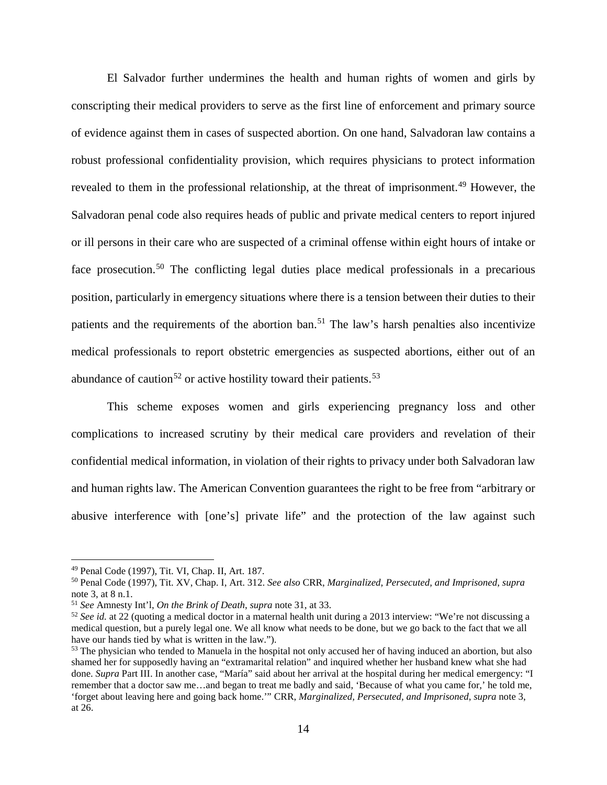El Salvador further undermines the health and human rights of women and girls by conscripting their medical providers to serve as the first line of enforcement and primary source of evidence against them in cases of suspected abortion. On one hand, Salvadoran law contains a robust professional confidentiality provision, which requires physicians to protect information revealed to them in the professional relationship, at the threat of imprisonment.<sup>[49](#page-24-0)</sup> However, the Salvadoran penal code also requires heads of public and private medical centers to report injured or ill persons in their care who are suspected of a criminal offense within eight hours of intake or face prosecution.<sup>[50](#page-24-1)</sup> The conflicting legal duties place medical professionals in a precarious position, particularly in emergency situations where there is a tension between their duties to their patients and the requirements of the abortion ban.<sup>[51](#page-24-2)</sup> The law's harsh penalties also incentivize medical professionals to report obstetric emergencies as suspected abortions, either out of an abundance of caution<sup>[52](#page-24-3)</sup> or active hostility toward their patients.<sup>[53](#page-24-4)</sup>

This scheme exposes women and girls experiencing pregnancy loss and other complications to increased scrutiny by their medical care providers and revelation of their confidential medical information, in violation of their rights to privacy under both Salvadoran law and human rights law. The American Convention guarantees the right to be free from "arbitrary or abusive interference with [one's] private life" and the protection of the law against such

<span id="page-24-0"></span><sup>49</sup> Penal Code (1997), Tit. VI, Chap. II, Art. 187.

<span id="page-24-1"></span><sup>50</sup> Penal Code (1997), Tit. XV, Chap. I, Art. 312. *See also* CRR, *Marginalized, Persecuted, and Imprisoned*, *supra*  note 3, at 8 n.1.

<span id="page-24-2"></span><sup>51</sup> *See* Amnesty Int'l, *On the Brink of Death*, *supra* note 31, at 33.

<span id="page-24-3"></span><sup>&</sup>lt;sup>52</sup> See id. at 22 (quoting a medical doctor in a maternal health unit during a 2013 interview: "We're not discussing a medical question, but a purely legal one. We all know what needs to be done, but we go back to the fact that we all have our hands tied by what is written in the law.").

<span id="page-24-4"></span><sup>&</sup>lt;sup>53</sup> The physician who tended to Manuela in the hospital not only accused her of having induced an abortion, but also shamed her for supposedly having an "extramarital relation" and inquired whether her husband knew what she had done. *Supra* Part III. In another case, "María" said about her arrival at the hospital during her medical emergency: "I remember that a doctor saw me…and began to treat me badly and said, 'Because of what you came for,' he told me, 'forget about leaving here and going back home.'" CRR, *Marginalized, Persecuted, and Imprisoned*, *supra* note 3, at 26.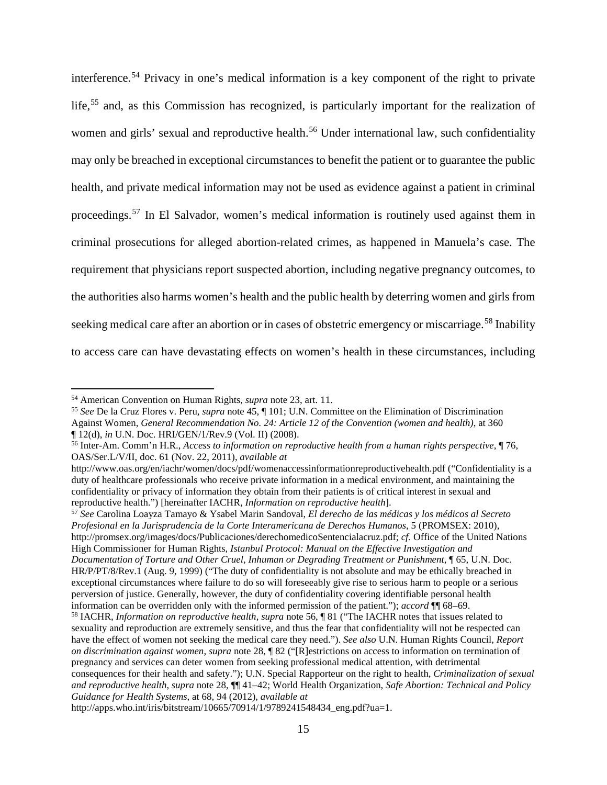interference.[54](#page-25-0) Privacy in one's medical information is a key component of the right to private life,<sup>[55](#page-25-1)</sup> and, as this Commission has recognized, is particularly important for the realization of women and girls' sexual and reproductive health.<sup>[56](#page-25-2)</sup> Under international law, such confidentiality may only be breached in exceptional circumstances to benefit the patient or to guarantee the public health, and private medical information may not be used as evidence against a patient in criminal proceedings.<sup>[57](#page-25-3)</sup> In El Salvador, women's medical information is routinely used against them in criminal prosecutions for alleged abortion-related crimes, as happened in Manuela's case. The requirement that physicians report suspected abortion, including negative pregnancy outcomes, to the authorities also harms women's health and the public health by deterring women and girls from seeking medical care after an abortion or in cases of obstetric emergency or miscarriage.<sup>[58](#page-25-4)</sup> Inability to access care can have devastating effects on women's health in these circumstances, including

 $\overline{a}$ 

<span id="page-25-3"></span><sup>57</sup> *See* Carolina Loayza Tamayo & Ysabel Marin Sandoval, *El derecho de las médicas y los médicos al Secreto Profesional en la Jurisprudencia de la Corte Interamericana de Derechos Humanos*, 5 (PROMSEX: 2010), http://promsex.org/images/docs/Publicaciones/derechomedicoSentencialacruz.pdf; *cf.* Office of the United Nations High Commissioner for Human Rights, *Istanbul Protocol: Manual on the Effective Investigation and Documentation of Torture and Other Cruel, Inhuman or Degrading Treatment or Punishment*, ¶ 65, U.N. Doc. HR/P/PT/8/Rev.1 (Aug. 9, 1999) ("The duty of confidentiality is not absolute and may be ethically breached in exceptional circumstances where failure to do so will foreseeably give rise to serious harm to people or a serious perversion of justice. Generally, however, the duty of confidentiality covering identifiable personal health information can be overridden only with the informed permission of the patient."); *accord* ¶¶ 68–69.

<span id="page-25-0"></span><sup>54</sup> American Convention on Human Rights, *supra* note 23, art. 11.

<span id="page-25-1"></span><sup>55</sup> *See* De la Cruz Flores v. Peru, *supra* note 45, ¶ 101; U.N. Committee on the Elimination of Discrimination Against Women, *General Recommendation No. 24: Article 12 of the Convention (women and health)*, at 360 ¶ 12(d), *in* U.N. Doc. HRI/GEN/1/Rev.9 (Vol. II) (2008).

<span id="page-25-2"></span><sup>56</sup> Inter-Am. Comm'n H.R., *Access to information on reproductive health from a human rights perspective*, ¶ 76, OAS/Ser.L/V/II, doc. 61 (Nov. 22, 2011), *available at* 

http://www.oas.org/en/iachr/women/docs/pdf/womenaccessinformationreproductivehealth.pdf ("Confidentiality is a duty of healthcare professionals who receive private information in a medical environment, and maintaining the confidentiality or privacy of information they obtain from their patients is of critical interest in sexual and reproductive health.") [hereinafter IACHR, *Information on reproductive health*].

<span id="page-25-4"></span><sup>58</sup> IACHR, *Information on reproductive health*, *supra* note 56, ¶ 81 ("The IACHR notes that issues related to sexuality and reproduction are extremely sensitive, and thus the fear that confidentiality will not be respected can have the effect of women not seeking the medical care they need."). *See also* U.N. Human Rights Council, *Report on discrimination against women*, *supra* note 28, ¶ 82 ("[R]estrictions on access to information on termination of pregnancy and services can deter women from seeking professional medical attention, with detrimental consequences for their health and safety."); U.N. Special Rapporteur on the right to health, *Criminalization of sexual and reproductive health*, *supra* note 28, ¶¶ 41–42; World Health Organization, *Safe Abortion: Technical and Policy Guidance for Health Systems*, at 68, 94 (2012), *available at*

http://apps.who.int/iris/bitstream/10665/70914/1/9789241548434\_eng.pdf?ua=1.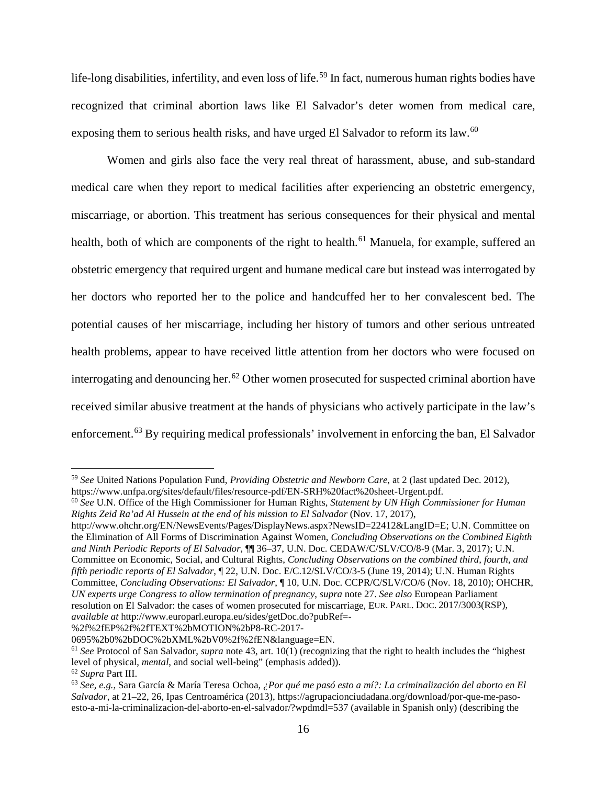life-long disabilities, infertility, and even loss of life.<sup>[59](#page-26-0)</sup> In fact, numerous human rights bodies have recognized that criminal abortion laws like El Salvador's deter women from medical care, exposing them to serious health risks, and have urged El Salvador to reform its law.<sup>[60](#page-26-1)</sup>

Women and girls also face the very real threat of harassment, abuse, and sub-standard medical care when they report to medical facilities after experiencing an obstetric emergency, miscarriage, or abortion. This treatment has serious consequences for their physical and mental health, both of which are components of the right to health.<sup>[61](#page-26-2)</sup> Manuela, for example, suffered an obstetric emergency that required urgent and humane medical care but instead was interrogated by her doctors who reported her to the police and handcuffed her to her convalescent bed. The potential causes of her miscarriage, including her history of tumors and other serious untreated health problems, appear to have received little attention from her doctors who were focused on interrogating and denouncing her.<sup>[62](#page-26-3)</sup> Other women prosecuted for suspected criminal abortion have received similar abusive treatment at the hands of physicians who actively participate in the law's enforcement.[63](#page-26-4) By requiring medical professionals' involvement in enforcing the ban, El Salvador

http://www.ohchr.org/EN/NewsEvents/Pages/DisplayNews.aspx?NewsID=22412&LangID=E; U.N. Committee on the Elimination of All Forms of Discrimination Against Women, *Concluding Observations on the Combined Eighth and Ninth Periodic Reports of El Salvador*, ¶¶ 36–37, U.N. Doc. CEDAW/C/SLV/CO/8-9 (Mar. 3, 2017); U.N. Committee on Economic, Social, and Cultural Rights, *Concluding Observations on the combined third, fourth, and fifth periodic reports of El Salvador*, ¶ 22, U.N. Doc. E/C.12/SLV/CO/3-5 (June 19, 2014); U.N. Human Rights Committee, *Concluding Observations: El Salvador*, ¶ 10, U.N. Doc. CCPR/C/SLV/CO/6 (Nov. 18, 2010); OHCHR, *UN experts urge Congress to allow termination of pregnancy*, *supra* note 27. *See also* European Parliament resolution on El Salvador: the cases of women prosecuted for miscarriage, EUR. PARL. DOC. 2017/3003(RSP), *available at* http://www.europarl.europa.eu/sides/getDoc.do?pubRef=-

%2f%2fEP%2f%2fTEXT%2bMOTION%2bP8-RC-2017-

<span id="page-26-0"></span><sup>59</sup> *See* United Nations Population Fund, *Providing Obstetric and Newborn Care*, at 2 (last updated Dec. 2012), https://www.unfpa.org/sites/default/files/resource-pdf/EN-SRH%20fact%20sheet-Urgent.pdf.

<span id="page-26-1"></span><sup>60</sup> *See* U.N. Office of the High Commissioner for Human Rights, *Statement by UN High Commissioner for Human Rights Zeid Ra'ad Al Hussein at the end of his mission to El Salvador* (Nov. 17, 2017),

<sup>0695%2</sup>b0%2bDOC%2bXML%2bV0%2f%2fEN&language=EN.

<span id="page-26-2"></span><sup>61</sup> *See* Protocol of San Salvador, *supra* note 43, art. 10(1) (recognizing that the right to health includes the "highest level of physical, *mental*, and social well-being" (emphasis added)).

<span id="page-26-3"></span><sup>62</sup> *Supra* Part III.

<span id="page-26-4"></span><sup>63</sup> *See, e.g.*, Sara García & María Teresa Ochoa, *¿Por qué me pasó esto a mí?: La criminalización del aborto en El Salvador*, at 21–22, 26, Ipas Centroamérica (2013), https://agrupacionciudadana.org/download/por-que-me-pasoesto-a-mi-la-criminalizacion-del-aborto-en-el-salvador/?wpdmdl=537 (available in Spanish only) (describing the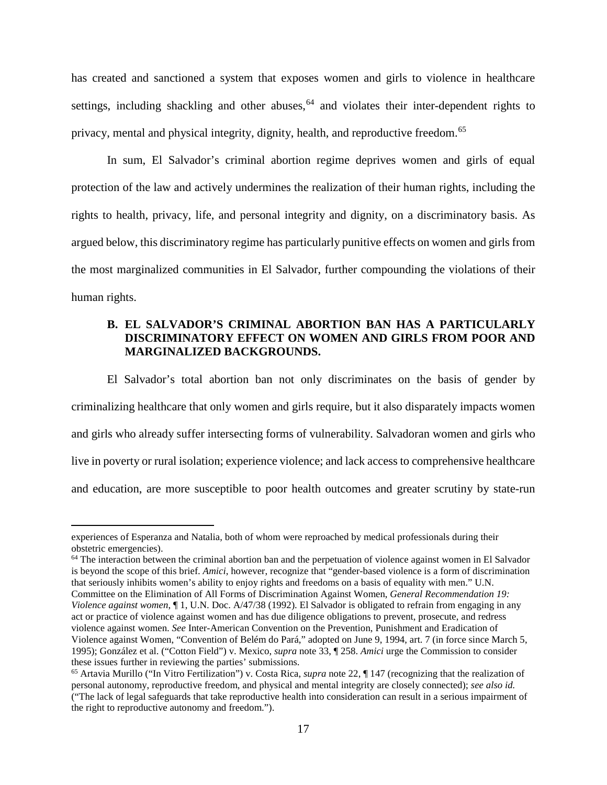has created and sanctioned a system that exposes women and girls to violence in healthcare settings, including shackling and other abuses,  $64$  and violates their inter-dependent rights to privacy, mental and physical integrity, dignity, health, and reproductive freedom.[65](#page-27-2)

In sum, El Salvador's criminal abortion regime deprives women and girls of equal protection of the law and actively undermines the realization of their human rights, including the rights to health, privacy, life, and personal integrity and dignity, on a discriminatory basis. As argued below, this discriminatory regime has particularly punitive effects on women and girls from the most marginalized communities in El Salvador, further compounding the violations of their human rights.

## <span id="page-27-0"></span>**B. EL SALVADOR'S CRIMINAL ABORTION BAN HAS A PARTICULARLY DISCRIMINATORY EFFECT ON WOMEN AND GIRLS FROM POOR AND MARGINALIZED BACKGROUNDS.**

El Salvador's total abortion ban not only discriminates on the basis of gender by criminalizing healthcare that only women and girls require, but it also disparately impacts women and girls who already suffer intersecting forms of vulnerability. Salvadoran women and girls who live in poverty or rural isolation; experience violence; and lack access to comprehensive healthcare and education, are more susceptible to poor health outcomes and greater scrutiny by state-run

experiences of Esperanza and Natalia, both of whom were reproached by medical professionals during their obstetric emergencies).

<span id="page-27-1"></span> $64$  The interaction between the criminal abortion ban and the perpetuation of violence against women in El Salvador is beyond the scope of this brief. *Amici*, however, recognize that "gender-based violence is a form of discrimination that seriously inhibits women's ability to enjoy rights and freedoms on a basis of equality with men." U.N. Committee on the Elimination of All Forms of Discrimination Against Women, *General Recommendation 19: Violence against women*, ¶ 1, U.N. Doc. A/47/38 (1992). El Salvador is obligated to refrain from engaging in any

act or practice of violence against women and has due diligence obligations to prevent, prosecute, and redress violence against women. *See* Inter-American Convention on the Prevention, Punishment and Eradication of Violence against Women, "Convention of Belém do Pará," adopted on June 9, 1994, art. 7 (in force since March 5, 1995); González et al. ("Cotton Field") v. Mexico, *supra* note 33, ¶ 258. *Amici* urge the Commission to consider these issues further in reviewing the parties' submissions.

<span id="page-27-2"></span><sup>65</sup> Artavia Murillo ("In Vitro Fertilization") v. Costa Rica, *supra* note 22, ¶ 147 (recognizing that the realization of personal autonomy, reproductive freedom, and physical and mental integrity are closely connected); *see also id.* ("The lack of legal safeguards that take reproductive health into consideration can result in a serious impairment of the right to reproductive autonomy and freedom.").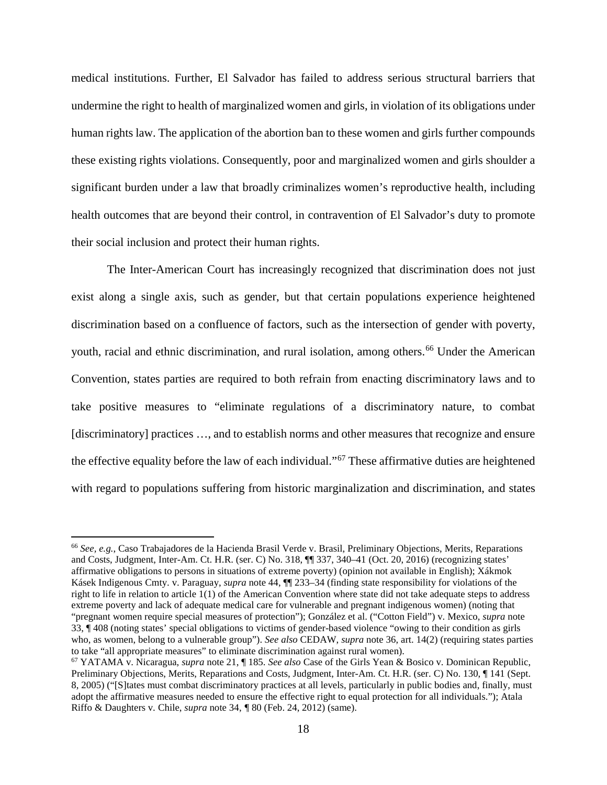medical institutions. Further, El Salvador has failed to address serious structural barriers that undermine the right to health of marginalized women and girls, in violation of its obligations under human rights law. The application of the abortion ban to these women and girls further compounds these existing rights violations. Consequently, poor and marginalized women and girls shoulder a significant burden under a law that broadly criminalizes women's reproductive health, including health outcomes that are beyond their control, in contravention of El Salvador's duty to promote their social inclusion and protect their human rights.

The Inter-American Court has increasingly recognized that discrimination does not just exist along a single axis, such as gender, but that certain populations experience heightened discrimination based on a confluence of factors, such as the intersection of gender with poverty, youth, racial and ethnic discrimination, and rural isolation, among others.<sup>[66](#page-28-0)</sup> Under the American Convention, states parties are required to both refrain from enacting discriminatory laws and to take positive measures to "eliminate regulations of a discriminatory nature, to combat [discriminatory] practices ..., and to establish norms and other measures that recognize and ensure the effective equality before the law of each individual."[67](#page-28-1) These affirmative duties are heightened with regard to populations suffering from historic marginalization and discrimination, and states

<span id="page-28-0"></span><sup>66</sup> *See, e.g.*, Caso Trabajadores de la Hacienda Brasil Verde v. Brasil, Preliminary Objections, Merits, Reparations and Costs, Judgment, Inter-Am. Ct. H.R. (ser. C) No. 318, ¶¶ 337, 340–41 (Oct. 20, 2016) (recognizing states' affirmative obligations to persons in situations of extreme poverty) (opinion not available in English); Xákmok Kásek Indigenous Cmty. v. Paraguay, *supra* note 44, ¶¶ 233–34 (finding state responsibility for violations of the right to life in relation to article 1(1) of the American Convention where state did not take adequate steps to address extreme poverty and lack of adequate medical care for vulnerable and pregnant indigenous women) (noting that "pregnant women require special measures of protection"); González et al. ("Cotton Field") v. Mexico, *supra* note 33, ¶ 408 (noting states' special obligations to victims of gender-based violence "owing to their condition as girls who, as women, belong to a vulnerable group"). *See also* CEDAW, *supra* note 36, art. 14(2) (requiring states parties to take "all appropriate measures" to eliminate discrimination against rural women).

<span id="page-28-1"></span><sup>67</sup> YATAMA v. Nicaragua, *supra* note 21, ¶ 185. *See also* Case of the Girls Yean & Bosico v. Dominican Republic, Preliminary Objections, Merits, Reparations and Costs, Judgment, Inter-Am. Ct. H.R. (ser. C) No. 130, ¶ 141 (Sept. 8, 2005) ("[S]tates must combat discriminatory practices at all levels, particularly in public bodies and, finally, must adopt the affirmative measures needed to ensure the effective right to equal protection for all individuals."); Atala Riffo & Daughters v. Chile, *supra* note 34, *¶* 80 (Feb. 24, 2012) (same).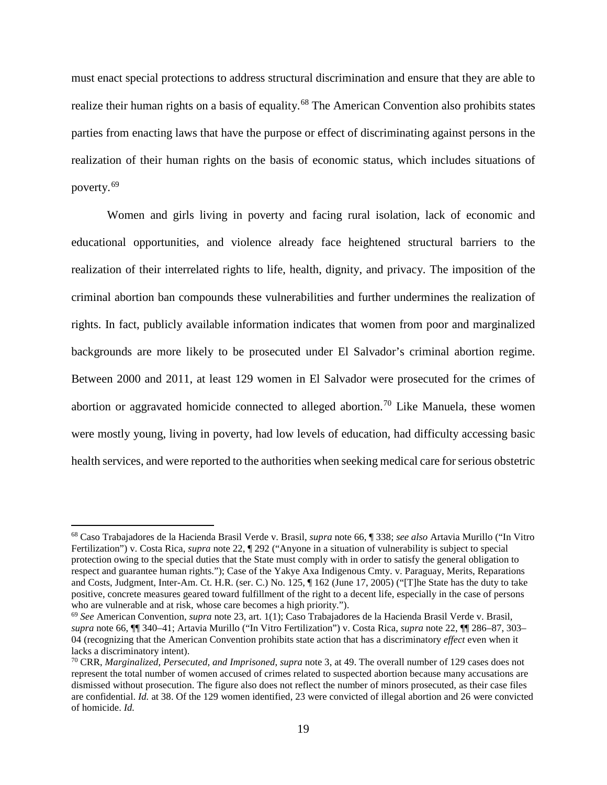must enact special protections to address structural discrimination and ensure that they are able to realize their human rights on a basis of equality.<sup>[68](#page-29-0)</sup> The American Convention also prohibits states parties from enacting laws that have the purpose or effect of discriminating against persons in the realization of their human rights on the basis of economic status, which includes situations of poverty.[69](#page-29-1)

Women and girls living in poverty and facing rural isolation, lack of economic and educational opportunities, and violence already face heightened structural barriers to the realization of their interrelated rights to life, health, dignity, and privacy. The imposition of the criminal abortion ban compounds these vulnerabilities and further undermines the realization of rights. In fact, publicly available information indicates that women from poor and marginalized backgrounds are more likely to be prosecuted under El Salvador's criminal abortion regime. Between 2000 and 2011, at least 129 women in El Salvador were prosecuted for the crimes of abortion or aggravated homicide connected to alleged abortion.<sup>[70](#page-29-2)</sup> Like Manuela, these women were mostly young, living in poverty, had low levels of education, had difficulty accessing basic health services, and were reported to the authorities when seeking medical care for serious obstetric

<span id="page-29-0"></span><sup>68</sup> Caso Trabajadores de la Hacienda Brasil Verde v. Brasil, *supra* note 66, ¶ 338; *see also* Artavia Murillo ("In Vitro Fertilization") v. Costa Rica, *supra* note 22, ¶ 292 ("Anyone in a situation of vulnerability is subject to special protection owing to the special duties that the State must comply with in order to satisfy the general obligation to respect and guarantee human rights."); Case of the Yakye Axa Indigenous Cmty. v. Paraguay, Merits, Reparations and Costs, Judgment, Inter-Am. Ct. H.R. (ser. C.) No. 125, ¶ 162 (June 17, 2005) ("[T]he State has the duty to take positive, concrete measures geared toward fulfillment of the right to a decent life, especially in the case of persons who are vulnerable and at risk, whose care becomes a high priority.").

<span id="page-29-1"></span><sup>69</sup> *See* American Convention, *supra* note 23, art. 1(1); Caso Trabajadores de la Hacienda Brasil Verde v. Brasil, *supra* note 66, ¶¶ 340–41; Artavia Murillo ("In Vitro Fertilization") v. Costa Rica, *supra* note 22, ¶¶ 286–87, 303– 04 (recognizing that the American Convention prohibits state action that has a discriminatory *effect* even when it lacks a discriminatory intent).

<span id="page-29-2"></span><sup>70</sup> CRR, *Marginalized, Persecuted, and Imprisoned*, *supra* note 3, at 49. The overall number of 129 cases does not represent the total number of women accused of crimes related to suspected abortion because many accusations are dismissed without prosecution. The figure also does not reflect the number of minors prosecuted, as their case files are confidential. *Id.* at 38. Of the 129 women identified, 23 were convicted of illegal abortion and 26 were convicted of homicide. *Id.*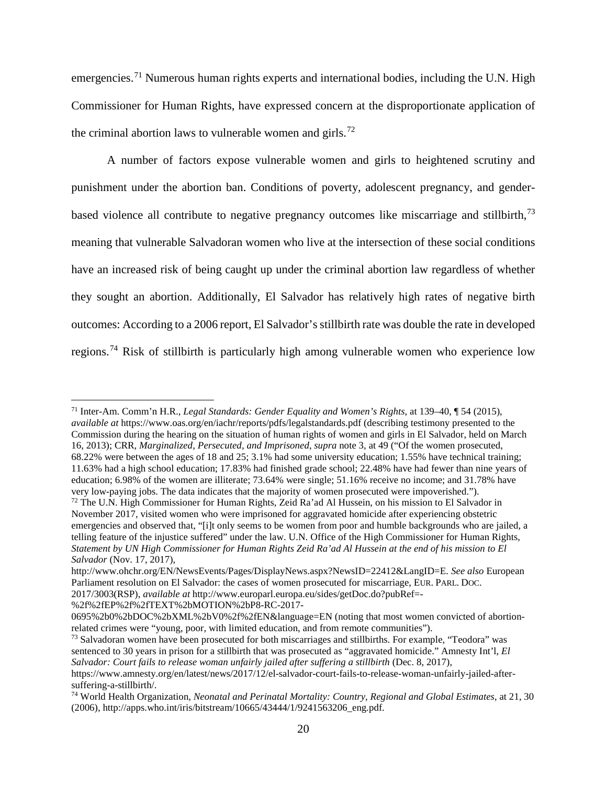emergencies.<sup>[71](#page-30-0)</sup> Numerous human rights experts and international bodies, including the U.N. High Commissioner for Human Rights, have expressed concern at the disproportionate application of the criminal abortion laws to vulnerable women and girls.<sup>[72](#page-30-1)</sup>

A number of factors expose vulnerable women and girls to heightened scrutiny and punishment under the abortion ban. Conditions of poverty, adolescent pregnancy, and gender-based violence all contribute to negative pregnancy outcomes like miscarriage and stillbirth,<sup>[73](#page-30-2)</sup> meaning that vulnerable Salvadoran women who live at the intersection of these social conditions have an increased risk of being caught up under the criminal abortion law regardless of whether they sought an abortion. Additionally, El Salvador has relatively high rates of negative birth outcomes: According to a 2006 report, El Salvador's stillbirth rate was double the rate in developed regions.[74](#page-30-3) Risk of stillbirth is particularly high among vulnerable women who experience low

%2f%2fEP%2f%2fTEXT%2bMOTION%2bP8-RC-2017-

<span id="page-30-0"></span> $\overline{a}$ <sup>71</sup> Inter-Am. Comm'n H.R., *Legal Standards: Gender Equality and Women's Rights*, at 139–40, ¶ 54 (2015), *available at* https://www.oas.org/en/iachr/reports/pdfs/legalstandards.pdf (describing testimony presented to the Commission during the hearing on the situation of human rights of women and girls in El Salvador, held on March 16, 2013); CRR, *Marginalized, Persecuted, and Imprisoned*, *supra* note 3, at 49 ("Of the women prosecuted, 68.22% were between the ages of 18 and 25; 3.1% had some university education; 1.55% have technical training; 11.63% had a high school education; 17.83% had finished grade school; 22.48% have had fewer than nine years of education; 6.98% of the women are illiterate; 73.64% were single; 51.16% receive no income; and 31.78% have very low-paying jobs. The data indicates that the majority of women prosecuted were impoverished.").

<span id="page-30-1"></span><sup>72</sup> The U.N. High Commissioner for Human Rights, Zeid Ra'ad Al Hussein, on his mission to El Salvador in November 2017, visited women who were imprisoned for aggravated homicide after experiencing obstetric emergencies and observed that, "[i]t only seems to be women from poor and humble backgrounds who are jailed, a telling feature of the injustice suffered" under the law. U.N. Office of the High Commissioner for Human Rights, *Statement by UN High Commissioner for Human Rights Zeid Ra'ad Al Hussein at the end of his mission to El Salvador* (Nov. 17, 2017),

http://www.ohchr.org/EN/NewsEvents/Pages/DisplayNews.aspx?NewsID=22412&LangID=E. *See also* European Parliament resolution on El Salvador: the cases of women prosecuted for miscarriage, EUR. PARL. DOC. 2017/3003(RSP), *available at* http://www.europarl.europa.eu/sides/getDoc.do?pubRef=-

<sup>0695%2</sup>b0%2bDOC%2bXML%2bV0%2f%2fEN&language=EN (noting that most women convicted of abortionrelated crimes were "young, poor, with limited education, and from remote communities").

<span id="page-30-2"></span><sup>&</sup>lt;sup>73</sup> Salvadoran women have been prosecuted for both miscarriages and stillbirths. For example, "Teodora" was sentenced to 30 years in prison for a stillbirth that was prosecuted as "aggravated homicide." Amnesty Int'l, *El Salvador: Court fails to release woman unfairly jailed after suffering a stillbirth* (Dec. 8, 2017),

https://www.amnesty.org/en/latest/news/2017/12/el-salvador-court-fails-to-release-woman-unfairly-jailed-aftersuffering-a-stillbirth/.<br><sup>74</sup> World Health Organization, *Neonatal and Perinatal Mortality: Country, Regional and Global Estimates*, at 21, 30

<span id="page-30-3"></span><sup>(2006),</sup> http://apps.who.int/iris/bitstream/10665/43444/1/9241563206\_eng.pdf.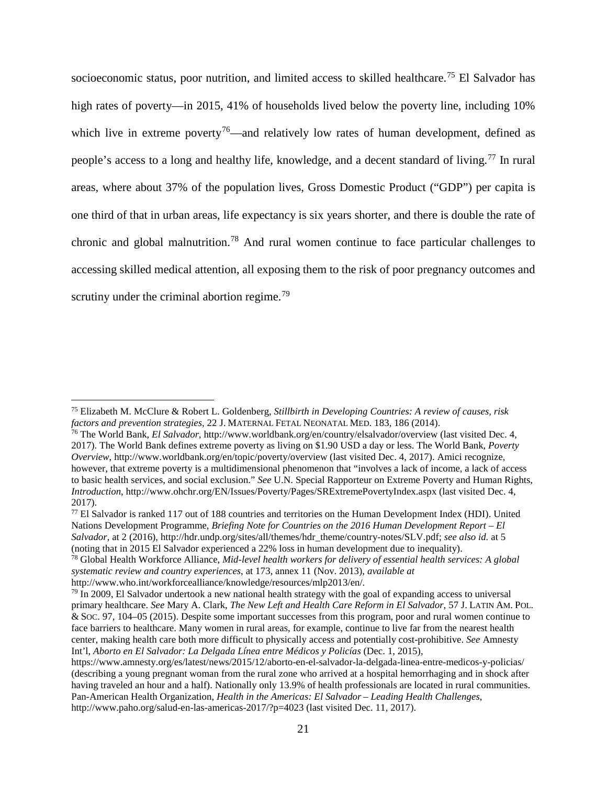socioeconomic status, poor nutrition, and limited access to skilled healthcare.<sup>[75](#page-31-0)</sup> El Salvador has high rates of poverty—in 2015, 41% of households lived below the poverty line, including 10% which live in extreme poverty<sup>[76](#page-31-1)</sup>—and relatively low rates of human development, defined as people's access to a long and healthy life, knowledge, and a decent standard of living.<sup>[77](#page-31-2)</sup> In rural areas, where about 37% of the population lives, Gross Domestic Product ("GDP") per capita is one third of that in urban areas, life expectancy is six years shorter, and there is double the rate of chronic and global malnutrition.[78](#page-31-3) And rural women continue to face particular challenges to accessing skilled medical attention, all exposing them to the risk of poor pregnancy outcomes and scrutiny under the criminal abortion regime.<sup>[79](#page-31-4)</sup>

<span id="page-31-0"></span><sup>75</sup> Elizabeth M. McClure & Robert L. Goldenberg, *Stillbirth in Developing Countries: A review of causes, risk* 

<span id="page-31-1"></span><sup>&</sup>lt;sup>76</sup> The World Bank, *El Salvador*, http://www.worldbank.org/en/country/elsalvador/overview (last visited Dec. 4, 2017). The World Bank defines extreme poverty as living on \$1.90 USD a day or less. The World Bank, *Poverty Overview*, http://www.worldbank.org/en/topic/poverty/overview (last visited Dec. 4, 2017). Amici recognize, however, that extreme poverty is a multidimensional phenomenon that "involves a lack of income, a lack of access to basic health services, and social exclusion." *See* U.N. Special Rapporteur on Extreme Poverty and Human Rights, *Introduction*, http://www.ohchr.org/EN/Issues/Poverty/Pages/SRExtremePovertyIndex.aspx (last visited Dec. 4, 2017).<br><sup>77</sup> El Salvador is ranked 117 out of 188 countries and territories on the Human Development Index (HDI). United

<span id="page-31-2"></span>Nations Development Programme, *Briefing Note for Countries on the 2016 Human Development Report – El Salvador*, at 2 (2016), http://hdr.undp.org/sites/all/themes/hdr\_theme/country-notes/SLV.pdf; *see also id.* at 5 (noting that in 2015 El Salvador experienced a 22% loss in human development due to inequality).

<span id="page-31-3"></span><sup>78</sup> Global Health Workforce Alliance, *Mid-level health workers for delivery of essential health services: A global systematic review and country experiences*, at 173, annex 11 (Nov. 2013), *available at* 

<span id="page-31-4"></span>http://www.who.int/workforcealliance/knowledge/resources/mlp2013/en/.<br><sup>79</sup> In 2009, El Salvador undertook a new national health strategy with the goal of expanding access to universal primary healthcare. *See* Mary A. Clark, *The New Left and Health Care Reform in El Salvador*, 57 J. LATIN AM. POL. & SOC. 97, 104–05 (2015). Despite some important successes from this program, poor and rural women continue to face barriers to healthcare. Many women in rural areas, for example, continue to live far from the nearest health center, making health care both more difficult to physically access and potentially cost-prohibitive. *See* Amnesty Int'l, *Aborto en El Salvador: La Delgada Línea entre Médicos y Policías* (Dec. 1, 2015),

https://www.amnesty.org/es/latest/news/2015/12/aborto-en-el-salvador-la-delgada-linea-entre-medicos-y-policias/ (describing a young pregnant woman from the rural zone who arrived at a hospital hemorrhaging and in shock after having traveled an hour and a half). Nationally only 13.9% of health professionals are located in rural communities. Pan-American Health Organization, *Health in the Americas: El Salvador – Leading Health Challenges*, http://www.paho.org/salud-en-las-americas-2017/?p=4023 (last visited Dec. 11, 2017).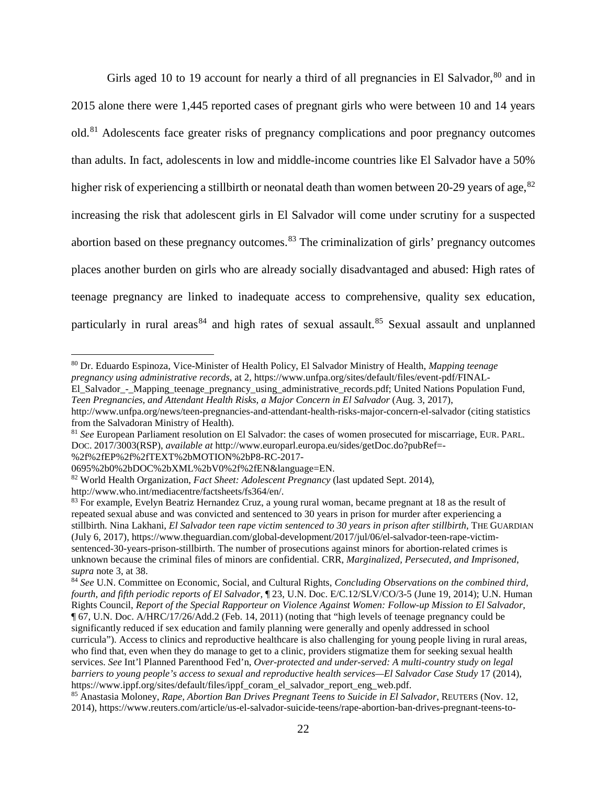Girls aged 10 to 19 account for nearly a third of all pregnancies in El Salvador,<sup>[80](#page-32-0)</sup> and in 2015 alone there were 1,445 reported cases of pregnant girls who were between 10 and 14 years old.[81](#page-32-1) Adolescents face greater risks of pregnancy complications and poor pregnancy outcomes than adults. In fact, adolescents in low and middle-income countries like El Salvador have a 50% higher risk of experiencing a stillbirth or neonatal death than women between 20-29 years of age,  $82$ increasing the risk that adolescent girls in El Salvador will come under scrutiny for a suspected abortion based on these pregnancy outcomes.<sup>[83](#page-32-3)</sup> The criminalization of girls' pregnancy outcomes places another burden on girls who are already socially disadvantaged and abused: High rates of teenage pregnancy are linked to inadequate access to comprehensive, quality sex education, particularly in rural areas<sup>[84](#page-32-4)</sup> and high rates of sexual assault.<sup>[85](#page-32-5)</sup> Sexual assault and unplanned

El\_Salvador - Mapping\_teenage\_pregnancy\_using\_administrative\_records.pdf; United Nations Population Fund, *Teen Pregnancies, and Attendant Health Risks, a Major Concern in El Salvador* (Aug. 3, 2017),

%2f%2fEP%2f%2fTEXT%2bMOTION%2bP8-RC-2017-

<span id="page-32-0"></span><sup>80</sup> Dr. Eduardo Espinoza, Vice-Minister of Health Policy, El Salvador Ministry of Health, *Mapping teenage pregnancy using administrative records*, at 2, https://www.unfpa.org/sites/default/files/event-pdf/FINAL-

http://www.unfpa.org/news/teen-pregnancies-and-attendant-health-risks-major-concern-el-salvador (citing statistics

<span id="page-32-1"></span><sup>&</sup>lt;sup>81</sup> *See* European Parliament resolution on El Salvador: the cases of women prosecuted for miscarriage, EUR. PARL. DOC. 2017/3003(RSP), *available at* http://www.europarl.europa.eu/sides/getDoc.do?pubRef=-

<span id="page-32-2"></span>

<sup>0695%2</sup>b0%2bDOC%2bXML%2bV0%2f%2fEN&language=EN. 82 World Health Organization, *Fact Sheet: Adolescent Pregnancy* (last updated Sept. 2014),

http://www.who.int/mediacentre/factsheets/fs364/en/.

<span id="page-32-3"></span><sup>&</sup>lt;sup>83</sup> For example, Evelyn Beatriz Hernandez Cruz, a young rural woman, became pregnant at 18 as the result of repeated sexual abuse and was convicted and sentenced to 30 years in prison for murder after experiencing a stillbirth. Nina Lakhani, *El Salvador teen rape victim sentenced to 30 years in prison after stillbirth*, THE GUARDIAN (July 6, 2017), https://www.theguardian.com/global-development/2017/jul/06/el-salvador-teen-rape-victimsentenced-30-years-prison-stillbirth. The number of prosecutions against minors for abortion-related crimes is unknown because the criminal files of minors are confidential. CRR, *Marginalized, Persecuted, and Imprisoned*, *supra* note 3, at 38.

<span id="page-32-4"></span><sup>84</sup> *See* U.N. Committee on Economic, Social, and Cultural Rights, *Concluding Observations on the combined third, fourth, and fifth periodic reports of El Salvador*, ¶ 23, U.N. Doc. E/C.12/SLV/CO/3-5 (June 19, 2014); U.N. Human Rights Council, *Report of the Special Rapporteur on Violence Against Women: Follow-up Mission to El Salvador*, ¶ 67, U.N. Doc. A/HRC/17/26/Add.2 (Feb. 14, 2011) (noting that "high levels of teenage pregnancy could be significantly reduced if sex education and family planning were generally and openly addressed in school curricula"). Access to clinics and reproductive healthcare is also challenging for young people living in rural areas, who find that, even when they do manage to get to a clinic, providers stigmatize them for seeking sexual health services. *See* Int'l Planned Parenthood Fed'n, *Over-protected and under-served: A multi-country study on legal barriers to young people's access to sexual and reproductive health services—El Salvador Case Study* 17 (2014), https://www.ippf.org/sites/default/files/ippf\_coram\_el\_salvador\_report\_eng\_web.pdf.

<span id="page-32-5"></span><sup>85</sup> Anastasia Moloney, *Rape, Abortion Ban Drives Pregnant Teens to Suicide in El Salvador*, REUTERS (Nov. 12, 2014), https://www.reuters.com/article/us-el-salvador-suicide-teens/rape-abortion-ban-drives-pregnant-teens-to-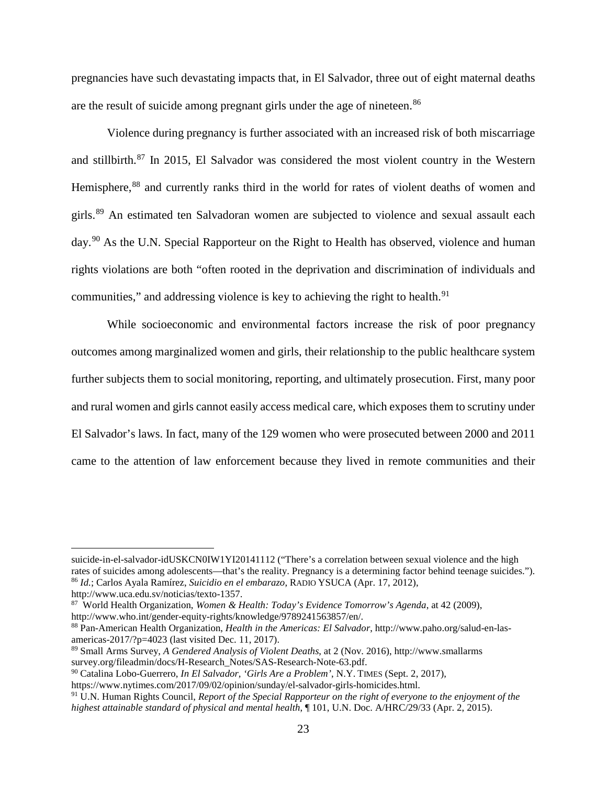pregnancies have such devastating impacts that, in El Salvador, three out of eight maternal deaths are the result of suicide among pregnant girls under the age of nineteen.<sup>[86](#page-33-0)</sup>

Violence during pregnancy is further associated with an increased risk of both miscarriage and stillbirth.[87](#page-33-1) In 2015, El Salvador was considered the most violent country in the Western Hemisphere,<sup>[88](#page-33-2)</sup> and currently ranks third in the world for rates of violent deaths of women and girls.[89](#page-33-3) An estimated ten Salvadoran women are subjected to violence and sexual assault each day.<sup>[90](#page-33-4)</sup> As the U.N. Special Rapporteur on the Right to Health has observed, violence and human rights violations are both "often rooted in the deprivation and discrimination of individuals and communities," and addressing violence is key to achieving the right to health.<sup>[91](#page-33-5)</sup>

While socioeconomic and environmental factors increase the risk of poor pregnancy outcomes among marginalized women and girls, their relationship to the public healthcare system further subjects them to social monitoring, reporting, and ultimately prosecution. First, many poor and rural women and girls cannot easily access medical care, which exposes them to scrutiny under El Salvador's laws. In fact, many of the 129 women who were prosecuted between 2000 and 2011 came to the attention of law enforcement because they lived in remote communities and their

<span id="page-33-0"></span>

suicide-in-el-salvador-idUSKCN0IW1YI20141112 ("There's a correlation between sexual violence and the high rates of suicides among adolescents—that's the reality. Pregnancy is a determining factor behind teenage suicides."). <sup>86</sup> *Id.*; Carlos Ayala Ramírez, *Suicidio en el embarazo*, RADIO YSUCA (Apr. 17, 2012),

<span id="page-33-1"></span><sup>&</sup>lt;sup>87</sup> World Health Organization, *Women & Health: Today's Evidence Tomorrow's Agenda*, at 42 (2009), http://www.who.int/gender-equity-rights/knowledge/9789241563857/en/.

<span id="page-33-2"></span><sup>&</sup>lt;sup>88</sup> Pan-American Health Organization, *Health in the Americas: El Salvador*, http://www.paho.org/salud-en-lasamericas-2017/?p=4023 (last visited Dec. 11, 2017).

<span id="page-33-3"></span><sup>89</sup> Small Arms Survey, *A Gendered Analysis of Violent Deaths*, at 2 (Nov. 2016), http://www.smallarms

<span id="page-33-4"></span><sup>&</sup>lt;sup>90</sup> Catalina Lobo-Guerrero, *In El Salvador, 'Girls Are a Problem'*, N.Y. TIMES (Sept. 2, 2017),

https://www.nytimes.com/2017/09/02/opinion/sunday/el-salvador-girls-homicides.html.

<span id="page-33-5"></span><sup>91</sup> U.N. Human Rights Council, *Report of the Special Rapporteur on the right of everyone to the enjoyment of the highest attainable standard of physical and mental health*, ¶ 101, U.N. Doc. A/HRC/29/33 (Apr. 2, 2015).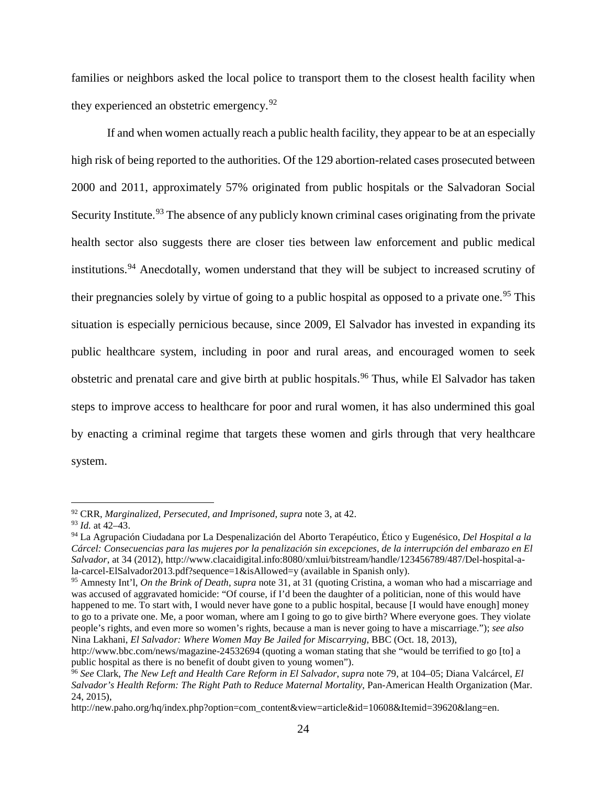families or neighbors asked the local police to transport them to the closest health facility when they experienced an obstetric emergency.  $92$ 

If and when women actually reach a public health facility, they appear to be at an especially high risk of being reported to the authorities. Of the 129 abortion-related cases prosecuted between 2000 and 2011, approximately 57% originated from public hospitals or the Salvadoran Social Security Institute.<sup>[93](#page-34-1)</sup> The absence of any publicly known criminal cases originating from the private health sector also suggests there are closer ties between law enforcement and public medical institutions.<sup>[94](#page-34-2)</sup> Anecdotally, women understand that they will be subject to increased scrutiny of their pregnancies solely by virtue of going to a public hospital as opposed to a private one.<sup>[95](#page-34-3)</sup> This situation is especially pernicious because, since 2009, El Salvador has invested in expanding its public healthcare system, including in poor and rural areas, and encouraged women to seek obstetric and prenatal care and give birth at public hospitals.<sup>[96](#page-34-4)</sup> Thus, while El Salvador has taken steps to improve access to healthcare for poor and rural women, it has also undermined this goal by enacting a criminal regime that targets these women and girls through that very healthcare system.

<span id="page-34-0"></span><sup>92</sup> CRR, *Marginalized, Persecuted, and Imprisoned*, *supra* note 3, at 42.

<span id="page-34-1"></span><sup>93</sup> *Id.* at 42–43.

<span id="page-34-2"></span><sup>94</sup> La Agrupación Ciudadana por La Despenalización del Aborto Terapéutico, Ético y Eugenésico, *Del Hospital a la Cárcel: Consecuencias para las mujeres por la penalización sin excepciones, de la interrupción del embarazo en El Salvador*, at 34 (2012), http://www.clacaidigital.info:8080/xmlui/bitstream/handle/123456789/487/Del-hospital-ala-carcel-ElSalvador2013.pdf?sequence=1&isAllowed=y (available in Spanish only).

<span id="page-34-3"></span><sup>95</sup> Amnesty Int'l, *On the Brink of Death*, *supra* note 31, at 31 (quoting Cristina, a woman who had a miscarriage and was accused of aggravated homicide: "Of course, if I'd been the daughter of a politician, none of this would have happened to me. To start with, I would never have gone to a public hospital, because [I would have enough] money to go to a private one. Me, a poor woman, where am I going to go to give birth? Where everyone goes. They violate people's rights, and even more so women's rights, because a man is never going to have a miscarriage."); *see also*  Nina Lakhani, *El Salvador: Where Women May Be Jailed for Miscarrying*, BBC (Oct. 18, 2013),

http://www.bbc.com/news/magazine-24532694 (quoting a woman stating that she "would be terrified to go [to] a public hospital as there is no benefit of doubt given to young women").

<span id="page-34-4"></span><sup>96</sup> *See* Clark, *The New Left and Health Care Reform in El Salvador*, *supra* note 79, at 104–05; Diana Valcárcel, *El Salvador's Health Reform: The Right Path to Reduce Maternal Mortality*, Pan-American Health Organization (Mar. 24, 2015),

http://new.paho.org/hq/index.php?option=com\_content&view=article&id=10608&Itemid=39620&lang=en.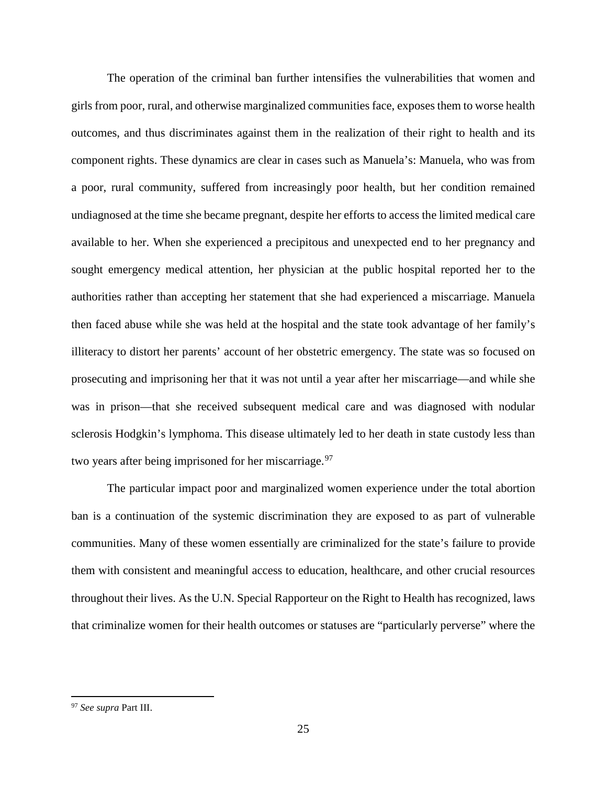The operation of the criminal ban further intensifies the vulnerabilities that women and girls from poor, rural, and otherwise marginalized communities face, exposes them to worse health outcomes, and thus discriminates against them in the realization of their right to health and its component rights. These dynamics are clear in cases such as Manuela's: Manuela, who was from a poor, rural community, suffered from increasingly poor health, but her condition remained undiagnosed at the time she became pregnant, despite her efforts to access the limited medical care available to her. When she experienced a precipitous and unexpected end to her pregnancy and sought emergency medical attention, her physician at the public hospital reported her to the authorities rather than accepting her statement that she had experienced a miscarriage. Manuela then faced abuse while she was held at the hospital and the state took advantage of her family's illiteracy to distort her parents' account of her obstetric emergency. The state was so focused on prosecuting and imprisoning her that it was not until a year after her miscarriage—and while she was in prison—that she received subsequent medical care and was diagnosed with nodular sclerosis Hodgkin's lymphoma. This disease ultimately led to her death in state custody less than two years after being imprisoned for her miscarriage.<sup>[97](#page-35-0)</sup>

The particular impact poor and marginalized women experience under the total abortion ban is a continuation of the systemic discrimination they are exposed to as part of vulnerable communities. Many of these women essentially are criminalized for the state's failure to provide them with consistent and meaningful access to education, healthcare, and other crucial resources throughout their lives. As the U.N. Special Rapporteur on the Right to Health has recognized, laws that criminalize women for their health outcomes or statuses are "particularly perverse" where the

<span id="page-35-0"></span><sup>97</sup> *See supra* Part III.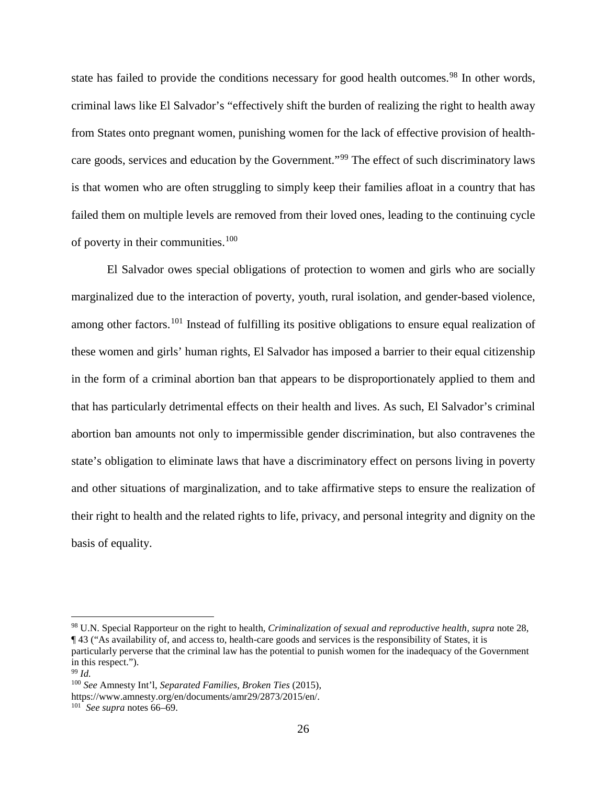state has failed to provide the conditions necessary for good health outcomes.<sup>[98](#page-36-0)</sup> In other words, criminal laws like El Salvador's "effectively shift the burden of realizing the right to health away from States onto pregnant women, punishing women for the lack of effective provision of health-care goods, services and education by the Government."<sup>[99](#page-36-1)</sup> The effect of such discriminatory laws is that women who are often struggling to simply keep their families afloat in a country that has failed them on multiple levels are removed from their loved ones, leading to the continuing cycle of poverty in their communities.[100](#page-36-2)

El Salvador owes special obligations of protection to women and girls who are socially marginalized due to the interaction of poverty, youth, rural isolation, and gender-based violence, among other factors.<sup>[101](#page-36-3)</sup> Instead of fulfilling its positive obligations to ensure equal realization of these women and girls' human rights, El Salvador has imposed a barrier to their equal citizenship in the form of a criminal abortion ban that appears to be disproportionately applied to them and that has particularly detrimental effects on their health and lives. As such, El Salvador's criminal abortion ban amounts not only to impermissible gender discrimination, but also contravenes the state's obligation to eliminate laws that have a discriminatory effect on persons living in poverty and other situations of marginalization, and to take affirmative steps to ensure the realization of their right to health and the related rights to life, privacy, and personal integrity and dignity on the basis of equality.

<span id="page-36-0"></span><sup>98</sup> U.N. Special Rapporteur on the right to health, *Criminalization of sexual and reproductive health*, *supra* note 28, ¶ 43 ("As availability of, and access to, health-care goods and services is the responsibility of States, it is particularly perverse that the criminal law has the potential to punish women for the inadequacy of the Government in this respect.").

<span id="page-36-2"></span><span id="page-36-1"></span><sup>99</sup> *Id.*

<sup>100</sup> *See* Amnesty Int'l, *Separated Families, Broken Ties* (2015),

https://www.amnesty.org/en/documents/amr29/2873/2015/en/.

<span id="page-36-3"></span><sup>101</sup> *See supra* notes 66–69.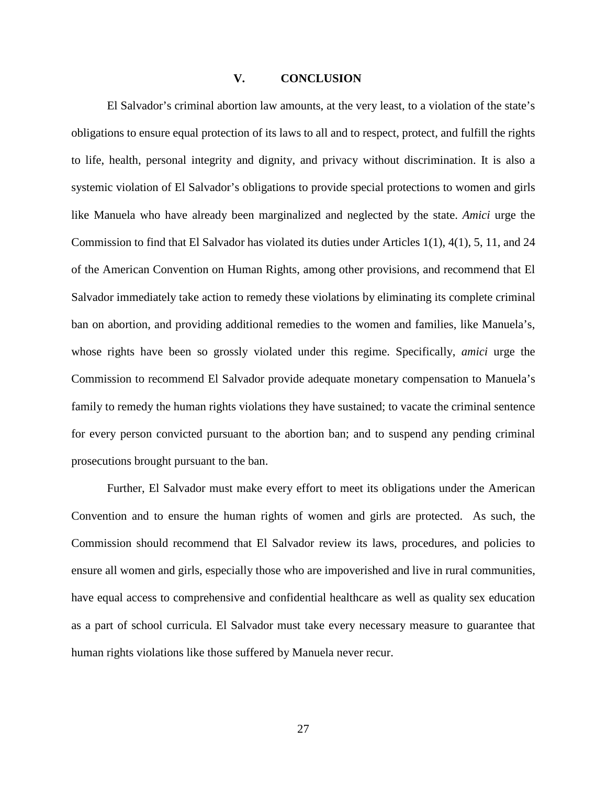### **V. CONCLUSION**

<span id="page-37-0"></span>El Salvador's criminal abortion law amounts, at the very least, to a violation of the state's obligations to ensure equal protection of its laws to all and to respect, protect, and fulfill the rights to life, health, personal integrity and dignity, and privacy without discrimination. It is also a systemic violation of El Salvador's obligations to provide special protections to women and girls like Manuela who have already been marginalized and neglected by the state. *Amici* urge the Commission to find that El Salvador has violated its duties under Articles 1(1), 4(1), 5, 11, and 24 of the American Convention on Human Rights, among other provisions, and recommend that El Salvador immediately take action to remedy these violations by eliminating its complete criminal ban on abortion, and providing additional remedies to the women and families, like Manuela's, whose rights have been so grossly violated under this regime. Specifically, *amici* urge the Commission to recommend El Salvador provide adequate monetary compensation to Manuela's family to remedy the human rights violations they have sustained; to vacate the criminal sentence for every person convicted pursuant to the abortion ban; and to suspend any pending criminal prosecutions brought pursuant to the ban.

Further, El Salvador must make every effort to meet its obligations under the American Convention and to ensure the human rights of women and girls are protected. As such, the Commission should recommend that El Salvador review its laws, procedures, and policies to ensure all women and girls, especially those who are impoverished and live in rural communities, have equal access to comprehensive and confidential healthcare as well as quality sex education as a part of school curricula. El Salvador must take every necessary measure to guarantee that human rights violations like those suffered by Manuela never recur.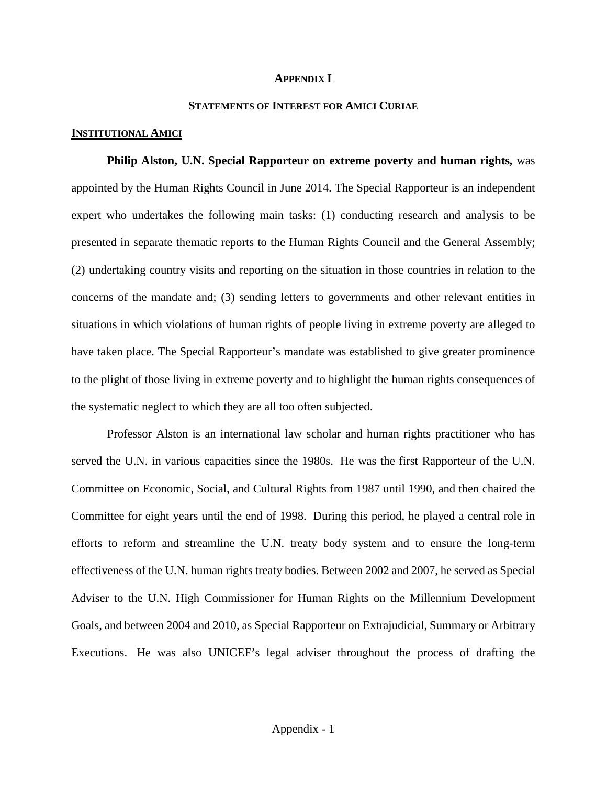#### **APPENDIX I**

### **STATEMENTS OF INTEREST FOR AMICI CURIAE**

### <span id="page-38-1"></span><span id="page-38-0"></span>**INSTITUTIONAL AMICI**

<span id="page-38-2"></span>**Philip Alston, U.N. Special Rapporteur on extreme poverty and human rights***,* was appointed by the Human Rights Council in June 2014. The Special Rapporteur is an independent expert who undertakes the following main tasks: (1) conducting research and analysis to be presented in separate thematic reports to the Human Rights Council and the General Assembly; (2) undertaking country visits and reporting on the situation in those countries in relation to the concerns of the mandate and; (3) sending letters to governments and other relevant entities in situations in which violations of human rights of people living in extreme poverty are alleged to have taken place. The Special Rapporteur's mandate was established to give greater prominence to the plight of those living in extreme poverty and to highlight the human rights consequences of the systematic neglect to which they are all too often subjected.

Professor Alston is an international law scholar and human rights practitioner who has served the U.N. in various capacities since the 1980s. He was the first Rapporteur of the U.N. Committee on Economic, Social, and Cultural Rights from 1987 until 1990, and then chaired the Committee for eight years until the end of 1998. During this period, he played a central role in efforts to reform and streamline the U.N. treaty body system and to ensure the long-term effectiveness of the U.N. human rights treaty bodies. Between 2002 and 2007, he served as Special Adviser to the U.N. High Commissioner for Human Rights on the Millennium Development Goals, and between 2004 and 2010, as Special Rapporteur on Extrajudicial, Summary or Arbitrary Executions. He was also UNICEF's legal adviser throughout the process of drafting the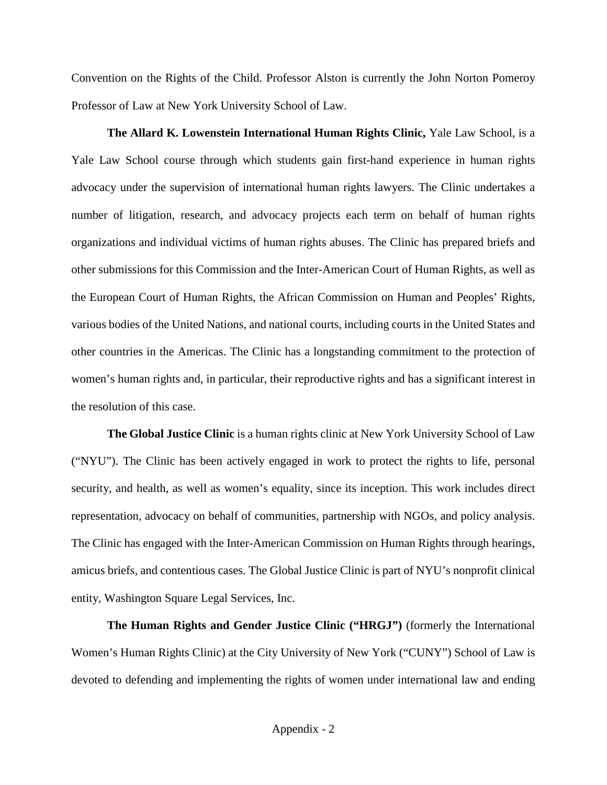Convention on the Rights of the Child. Professor Alston is currently the John Norton Pomeroy Professor of Law at New York University School of Law.

<span id="page-39-0"></span>**The Allard K. Lowenstein International Human Rights Clinic,** Yale Law School, is a Yale Law School course through which students gain first-hand experience in human rights advocacy under the supervision of international human rights lawyers. The Clinic undertakes a number of litigation, research, and advocacy projects each term on behalf of human rights organizations and individual victims of human rights abuses. The Clinic has prepared briefs and other submissions for this Commission and the Inter-American Court of Human Rights, as well as the European Court of Human Rights, the African Commission on Human and Peoples' Rights, various bodies of the United Nations, and national courts, including courts in the United States and other countries in the Americas. The Clinic has a longstanding commitment to the protection of women's human rights and, in particular, their reproductive rights and has a significant interest in the resolution of this case.

<span id="page-39-1"></span>**The Global Justice Clinic** is a human rights clinic at New York University School of Law ("NYU"). The Clinic has been actively engaged in work to protect the rights to life, personal security, and health, as well as women's equality, since its inception. This work includes direct representation, advocacy on behalf of communities, partnership with NGOs, and policy analysis. The Clinic has engaged with the Inter-American Commission on Human Rights through hearings, amicus briefs, and contentious cases. The Global Justice Clinic is part of NYU's nonprofit clinical entity, Washington Square Legal Services, Inc.

<span id="page-39-2"></span>**The Human Rights and Gender Justice Clinic ("HRGJ")** (formerly the International Women's Human Rights Clinic) at the City University of New York ("CUNY") School of Law is devoted to defending and implementing the rights of women under international law and ending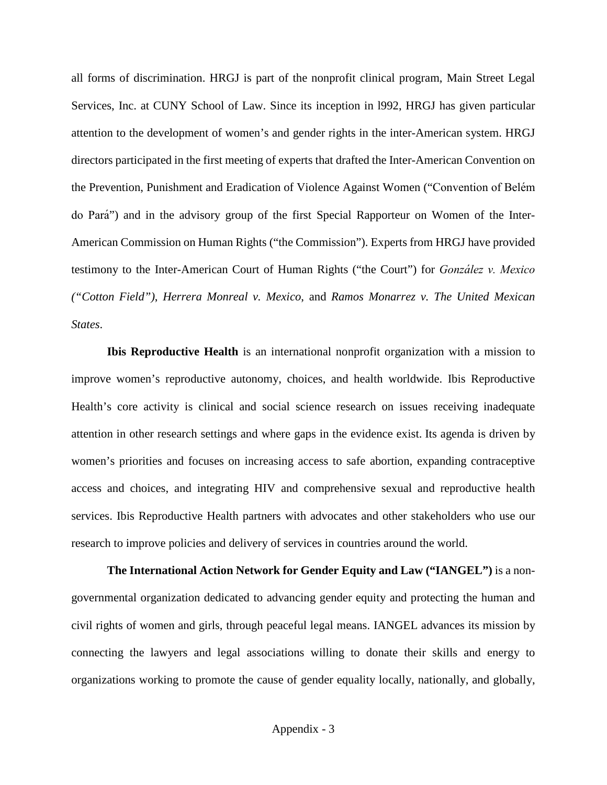all forms of discrimination. HRGJ is part of the nonprofit clinical program, Main Street Legal Services, Inc. at CUNY School of Law. Since its inception in l992, HRGJ has given particular attention to the development of women's and gender rights in the inter-American system. HRGJ directors participated in the first meeting of experts that drafted the Inter-American Convention on the Prevention, Punishment and Eradication of Violence Against Women ("Convention of Belé m do Pará ") and in the advisory group of the first Special Rapporteur on Women of the Inter-American Commission on Human Rights ("the Commission"). Experts from HRGJ have provided testimony to the Inter-American Court of Human Rights ("the Court") for *González v. Mexico ("Cotton Field")*, *Herrera Monreal v. Mexico*, and *Ramos Monarrez v. The United Mexican States*.

<span id="page-40-0"></span>**Ibis Reproductive Health** is an international nonprofit organization with a mission to improve women's reproductive autonomy, choices, and health worldwide. Ibis Reproductive Health's core activity is clinical and social science research on issues receiving inadequate attention in other research settings and where gaps in the evidence exist. Its agenda is driven by women's priorities and focuses on increasing access to safe abortion, expanding contraceptive access and choices, and integrating HIV and comprehensive sexual and reproductive health services. Ibis Reproductive Health partners with advocates and other stakeholders who use our research to improve policies and delivery of services in countries around the world.

<span id="page-40-1"></span>**The International Action Network for Gender Equity and Law ("IANGEL")** is a nongovernmental organization dedicated to advancing gender equity and protecting the human and civil rights of women and girls, through peaceful legal means. IANGEL advances its mission by connecting the lawyers and legal associations willing to donate their skills and energy to organizations working to promote the cause of gender equality locally, nationally, and globally,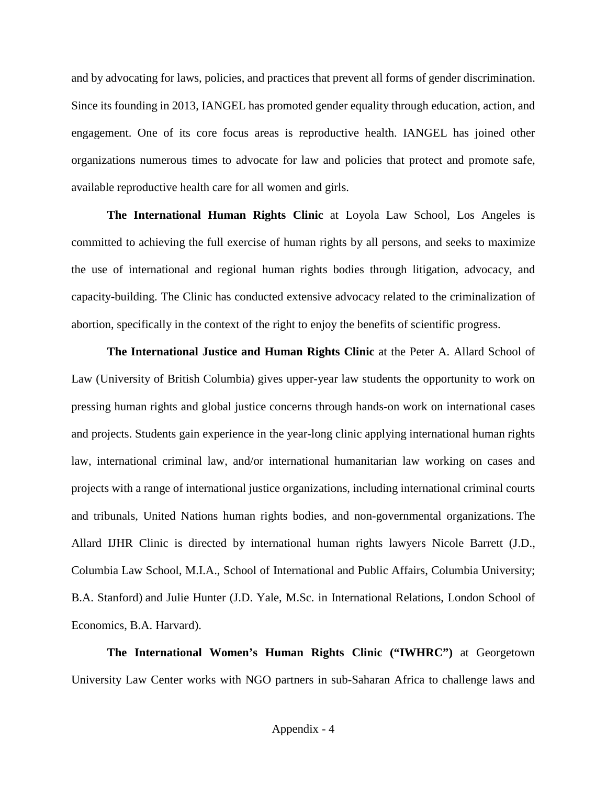and by advocating for laws, policies, and practices that prevent all forms of gender discrimination. Since its founding in 2013, IANGEL has promoted gender equality through education, action, and engagement. One of its core focus areas is reproductive health. IANGEL has joined other organizations numerous times to advocate for law and policies that protect and promote safe, available reproductive health care for all women and girls.

<span id="page-41-0"></span>**The International Human Rights Clinic** at Loyola Law School, Los Angeles is committed to achieving the full exercise of human rights by all persons, and seeks to maximize the use of international and regional human rights bodies through litigation, advocacy, and capacity-building. The Clinic has conducted extensive advocacy related to the criminalization of abortion, specifically in the context of the right to enjoy the benefits of scientific progress.

<span id="page-41-1"></span>**The International Justice and Human Rights Clinic** at the Peter A. Allard School of Law (University of British Columbia) gives upper-year law students the opportunity to work on pressing human rights and global justice concerns through hands-on work on international cases and projects. Students gain experience in the year-long clinic applying international human rights law, international criminal law, and/or international humanitarian law working on cases and projects with a range of international justice organizations, including international criminal courts and tribunals, United Nations human rights bodies, and non-governmental organizations. The Allard IJHR Clinic is directed by international human rights lawyers Nicole Barrett (J.D., Columbia Law School, M.I.A., School of International and Public Affairs, Columbia University; B.A. Stanford) and Julie Hunter (J.D. Yale, M.Sc. in International Relations, London School of Economics, B.A. Harvard).

<span id="page-41-2"></span>**The International Women's Human Rights Clinic ("IWHRC")** at Georgetown University Law Center works with NGO partners in sub-Saharan Africa to challenge laws and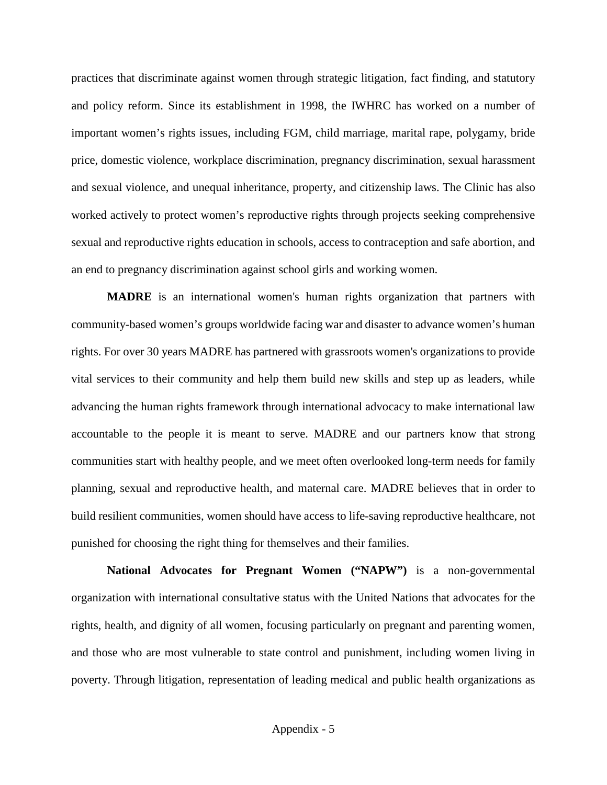practices that discriminate against women through strategic litigation, fact finding, and statutory and policy reform. Since its establishment in 1998, the IWHRC has worked on a number of important women's rights issues, including FGM, child marriage, marital rape, polygamy, bride price, domestic violence, workplace discrimination, pregnancy discrimination, sexual harassment and sexual violence, and unequal inheritance, property, and citizenship laws. The Clinic has also worked actively to protect women's reproductive rights through projects seeking comprehensive sexual and reproductive rights education in schools, access to contraception and safe abortion, and an end to pregnancy discrimination against school girls and working women.

<span id="page-42-0"></span>**MADRE** is an international women's human rights organization that partners with community-based women's groups worldwide facing war and disaster to advance women's human rights. For over 30 years MADRE has partnered with grassroots women's organizations to provide vital services to their community and help them build new skills and step up as leaders, while advancing the human rights framework through international advocacy to make international law accountable to the people it is meant to serve. MADRE and our partners know that strong communities start with healthy people, and we meet often overlooked long-term needs for family planning, sexual and reproductive health, and maternal care. MADRE believes that in order to build resilient communities, women should have access to life-saving reproductive healthcare, not punished for choosing the right thing for themselves and their families.

<span id="page-42-1"></span>**National Advocates for Pregnant Women ("NAPW")** is a non-governmental organization with international consultative status with the United Nations that advocates for the rights, health, and dignity of all women, focusing particularly on pregnant and parenting women, and those who are most vulnerable to state control and punishment, including women living in poverty. Through litigation, representation of leading medical and public health organizations as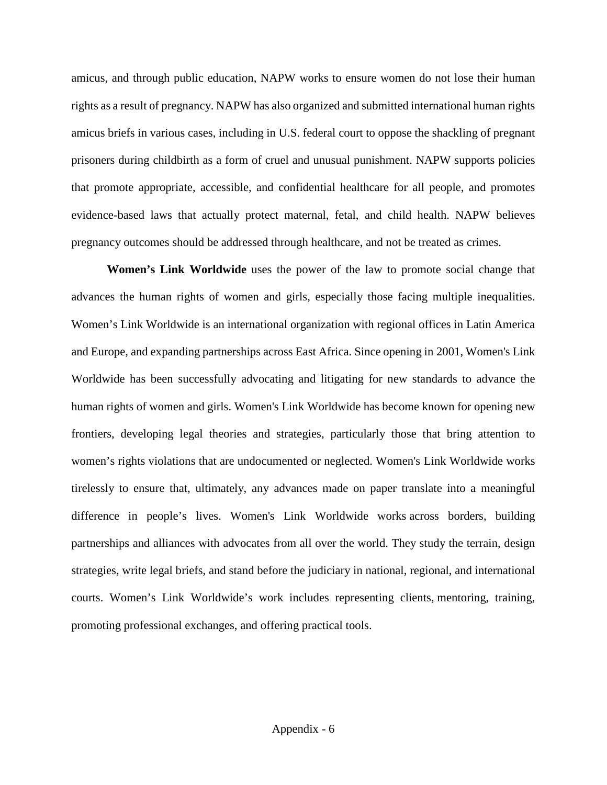amicus, and through public education, NAPW works to ensure women do not lose their human rights as a result of pregnancy. NAPW has also organized and submitted international human rights amicus briefs in various cases, including in U.S. federal court to oppose the shackling of pregnant prisoners during childbirth as a form of cruel and unusual punishment. NAPW supports policies that promote appropriate, accessible, and confidential healthcare for all people, and promotes evidence-based laws that actually protect maternal, fetal, and child health. NAPW believes pregnancy outcomes should be addressed through healthcare, and not be treated as crimes.

<span id="page-43-0"></span>**Women's Link Worldwide** uses the power of the law to promote social change that advances the human rights of women and girls, especially those facing multiple inequalities. Women's Link Worldwide is an international organization with regional offices in Latin America and Europe, and expanding partnerships across East Africa. Since opening in 2001, Women's Link Worldwide has been successfully advocating and litigating for new standards to advance the human rights of women and girls. Women's Link Worldwide has become known for opening new frontiers, developing legal theories and strategies, particularly those that bring attention to women's rights violations that are undocumented or neglected. Women's Link Worldwide works tirelessly to ensure that, ultimately, any advances made on paper translate into a meaningful difference in people's lives. Women's Link Worldwide works across borders, building partnerships and alliances with advocates from all over the world. They study the terrain, design strategies, write legal briefs, and stand before the judiciary in national, regional, and international courts. Women's Link Worldwide's work includes representing clients, mentoring, training, promoting professional exchanges, and offering practical tools.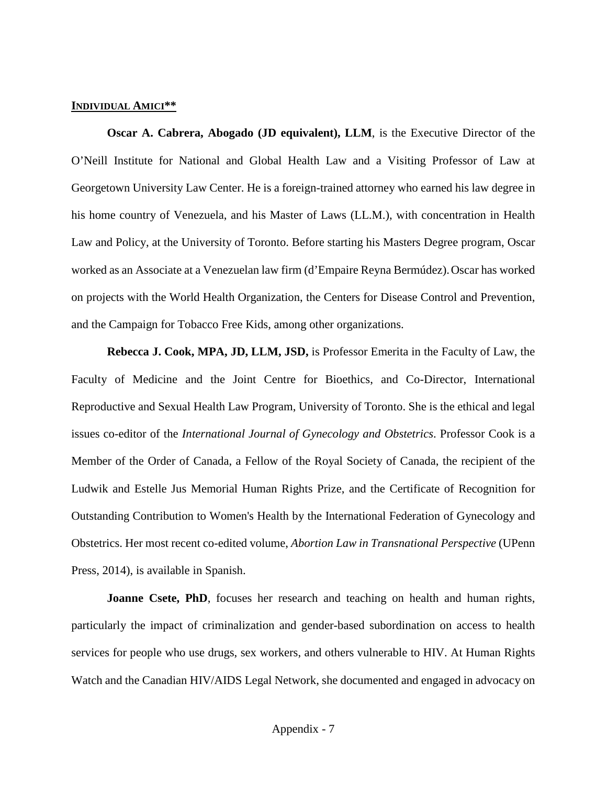### <span id="page-44-0"></span>**INDIVIDUAL AMICI\*\***

<span id="page-44-1"></span>**Oscar A. Cabrera, Abogado (JD equivalent), LLM**, is the Executive Director of the O'Neill Institute for National and Global Health Law and a Visiting Professor of Law at Georgetown University Law Center. He is a foreign-trained attorney who earned his law degree in his home country of Venezuela, and his Master of Laws (LL.M.), with concentration in Health Law and Policy, at the University of Toronto. Before starting his Masters Degree program, Oscar worked as an Associate at a Venezuelan law firm (d'Empaire Reyna Bermúdez).Oscar has worked on projects with the World Health Organization, the Centers for Disease Control and Prevention, and the Campaign for Tobacco Free Kids, among other organizations.

<span id="page-44-2"></span>**Rebecca J. Cook, MPA, JD, LLM, JSD,** is Professor Emerita in the Faculty of Law, the Faculty of Medicine and the Joint Centre for Bioethics, and Co-Director, International Reproductive and Sexual Health Law Program, University of Toronto. She is the ethical and legal issues co-editor of the *International Journal of Gynecology and Obstetrics*. Professor Cook is a Member of the Order of Canada, a Fellow of the Royal Society of Canada, the recipient of the Ludwik and Estelle Jus Memorial Human Rights Prize, and the Certificate of Recognition for Outstanding Contribution to Women's Health by the International Federation of Gynecology and Obstetrics. Her most recent co-edited volume, *Abortion Law in Transnational Perspective* (UPenn Press, 2014), is available in Spanish.

<span id="page-44-3"></span>**Joanne Csete, PhD**, focuses her research and teaching on health and human rights, particularly the impact of criminalization and gender-based subordination on access to health services for people who use drugs, sex workers, and others vulnerable to HIV. At Human Rights Watch and the Canadian HIV/AIDS Legal Network, she documented and engaged in advocacy on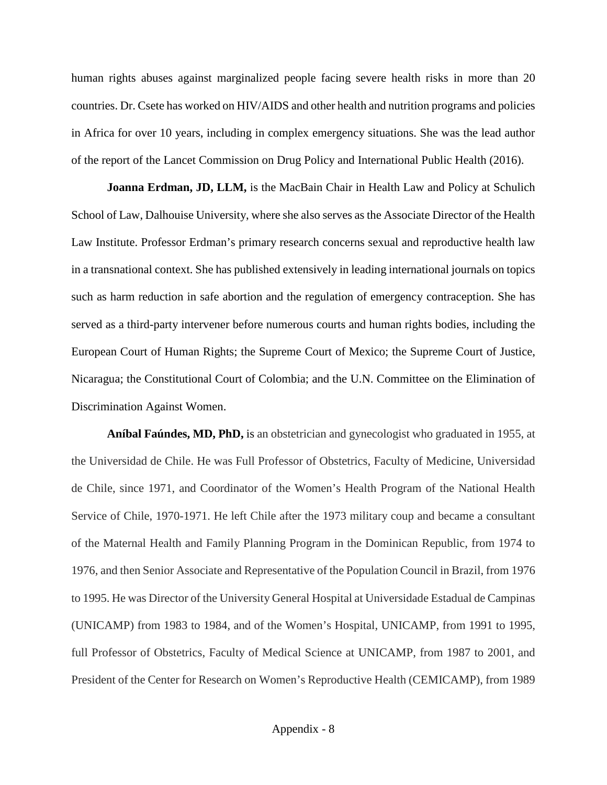human rights abuses against marginalized people facing severe health risks in more than 20 countries. Dr. Csete has worked on HIV/AIDS and other health and nutrition programs and policies in Africa for over 10 years, including in complex emergency situations. She was the lead author of the report of the Lancet Commission on Drug Policy and International Public Health (2016).

<span id="page-45-0"></span>**Joanna Erdman, JD, LLM,** is the MacBain Chair in Health Law and Policy at Schulich School of Law, Dalhouise University, where she also serves as the Associate Director of the Health Law Institute. Professor Erdman's primary research concerns sexual and reproductive health law in a transnational context. She has published extensively in leading international journals on topics such as harm reduction in safe abortion and the regulation of emergency contraception. She has served as a third-party intervener before numerous courts and human rights bodies, including the European Court of Human Rights; the Supreme Court of Mexico; the Supreme Court of Justice, Nicaragua; the Constitutional Court of Colombia; and the U.N. Committee on the Elimination of Discrimination Against Women.

<span id="page-45-1"></span>**Aníbal Faúndes, MD, PhD,** is an obstetrician and gynecologist who graduated in 1955, at the Universidad de Chile. He was Full Professor of Obstetrics, Faculty of Medicine, Universidad de Chile, since 1971, and Coordinator of the Women's Health Program of the National Health Service of Chile, 1970-1971. He left Chile after the 1973 military coup and became a consultant of the Maternal Health and Family Planning Program in the Dominican Republic, from 1974 to 1976, and then Senior Associate and Representative of the Population Council in Brazil, from 1976 to 1995. He was Director of the University General Hospital at Universidade Estadual de Campinas (UNICAMP) from 1983 to 1984, and of the Women's Hospital, UNICAMP, from 1991 to 1995, full Professor of Obstetrics, Faculty of Medical Science at UNICAMP, from 1987 to 2001, and President of the Center for Research on Women's Reproductive Health (CEMICAMP), from 1989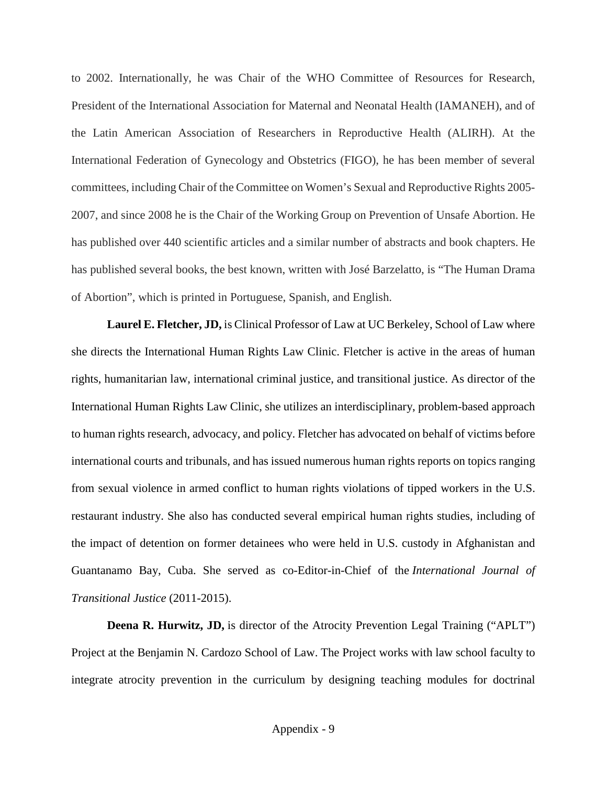to 2002. Internationally, he was Chair of the WHO Committee of Resources for Research, President of the International Association for Maternal and Neonatal Health (IAMANEH), and of the Latin American Association of Researchers in Reproductive Health (ALIRH). At the International Federation of Gynecology and Obstetrics (FIGO), he has been member of several committees, including Chair of the Committee on Women's Sexual and Reproductive Rights 2005- 2007, and since 2008 he is the Chair of the Working Group on Prevention of Unsafe Abortion. He has published over 440 scientific articles and a similar number of abstracts and book chapters. He has published several books, the best known, written with José Barzelatto, is "The Human Drama of Abortion", which is printed in Portuguese, Spanish, and English.

<span id="page-46-0"></span>**Laurel E. Fletcher, JD,** is Clinical Professor of Law at UC Berkeley, School of Law where she directs the International Human Rights Law Clinic. Fletcher is active in the areas of human rights, humanitarian law, international criminal justice, and transitional justice. As director of the International Human Rights Law Clinic, she utilizes an interdisciplinary, problem-based approach to human rights research, advocacy, and policy. Fletcher has advocated on behalf of victims before international courts and tribunals, and has issued numerous human rights reports on topics ranging from sexual violence in armed conflict to human rights violations of tipped workers in the U.S. restaurant industry. She also has conducted several empirical human rights studies, including of the impact of detention on former detainees who were held in U.S. custody in Afghanistan and Guantanamo Bay, Cuba. She served as co-Editor-in-Chief of the *International Journal of Transitional Justice* (2011-2015).

<span id="page-46-1"></span>**Deena R. Hurwitz, JD,** is director of the Atrocity Prevention Legal Training ("APLT") Project at the Benjamin N. Cardozo School of Law. The Project works with law school faculty to integrate atrocity prevention in the curriculum by designing teaching modules for doctrinal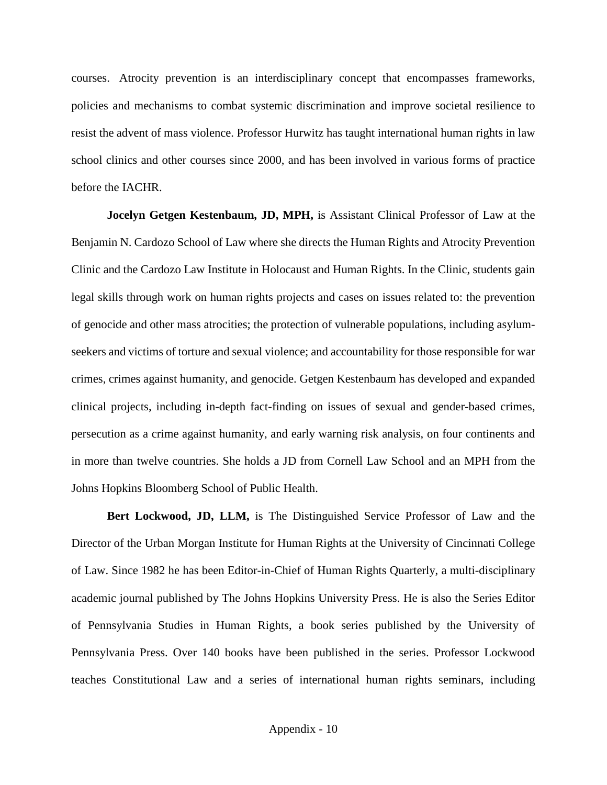courses. Atrocity prevention is an interdisciplinary concept that encompasses frameworks, policies and mechanisms to combat systemic discrimination and improve societal resilience to resist the advent of mass violence. Professor Hurwitz has taught international human rights in law school clinics and other courses since 2000, and has been involved in various forms of practice before the IACHR.

<span id="page-47-0"></span>**Jocelyn Getgen Kestenbaum, JD, MPH,** is Assistant Clinical Professor of Law at the Benjamin N. Cardozo School of Law where she directs the Human Rights and Atrocity Prevention Clinic and the Cardozo Law Institute in Holocaust and Human Rights. In the Clinic, students gain legal skills through work on human rights projects and cases on issues related to: the prevention of genocide and other mass atrocities; the protection of vulnerable populations, including asylumseekers and victims of torture and sexual violence; and accountability for those responsible for war crimes, crimes against humanity, and genocide. Getgen Kestenbaum has developed and expanded clinical projects, including in-depth fact-finding on issues of sexual and gender-based crimes, persecution as a crime against humanity, and early warning risk analysis, on four continents and in more than twelve countries. She holds a JD from Cornell Law School and an MPH from the Johns Hopkins Bloomberg School of Public Health.

<span id="page-47-1"></span>**Bert Lockwood, JD, LLM,** is The Distinguished Service Professor of Law and the Director of the Urban Morgan Institute for Human Rights at the University of Cincinnati College of Law. Since 1982 he has been Editor-in-Chief of Human Rights Quarterly, a multi-disciplinary academic journal published by The Johns Hopkins University Press. He is also the Series Editor of Pennsylvania Studies in Human Rights, a book series published by the University of Pennsylvania Press. Over 140 books have been published in the series. Professor Lockwood teaches Constitutional Law and a series of international human rights seminars, including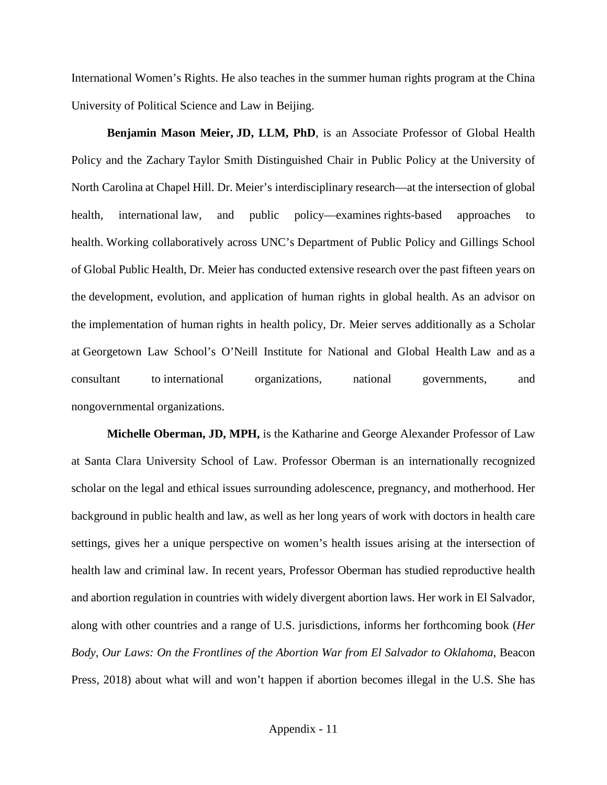International Women's Rights. He also teaches in the summer human rights program at the China University of Political Science and Law in Beijing.

<span id="page-48-0"></span>**Benjamin Mason Meier, JD, LLM, PhD**, is an Associate Professor of Global Health Policy and the Zachary Taylor Smith Distinguished Chair in Public Policy at the University of North Carolina at Chapel Hill. Dr. Meier's interdisciplinary research—at the intersection of global health, international law, and public policy—examines rights-based approaches to health. Working collaboratively across UNC's Department of Public Policy and Gillings School of Global Public Health, Dr. Meier has conducted extensive research over the past fifteen years on the development, evolution, and application of human rights in global health. As an advisor on the implementation of human rights in health policy, Dr. Meier serves additionally as a Scholar at Georgetown Law School's O'Neill Institute for National and Global Health Law and as a consultant to international organizations, national governments, and nongovernmental organizations.

<span id="page-48-1"></span>**Michelle Oberman, JD, MPH,** is the Katharine and George Alexander Professor of Law at Santa Clara University School of Law. Professor Oberman is an internationally recognized scholar on the legal and ethical issues surrounding adolescence, pregnancy, and motherhood. Her background in public health and law, as well as her long years of work with doctors in health care settings, gives her a unique perspective on women's health issues arising at the intersection of health law and criminal law. In recent years, Professor Oberman has studied reproductive health and abortion regulation in countries with widely divergent abortion laws. Her work in El Salvador, along with other countries and a range of U.S. jurisdictions, informs her forthcoming book (*Her Body, Our Laws: On the Frontlines of the Abortion War from El Salvador to Oklahoma*, Beacon Press, 2018) about what will and won't happen if abortion becomes illegal in the U.S. She has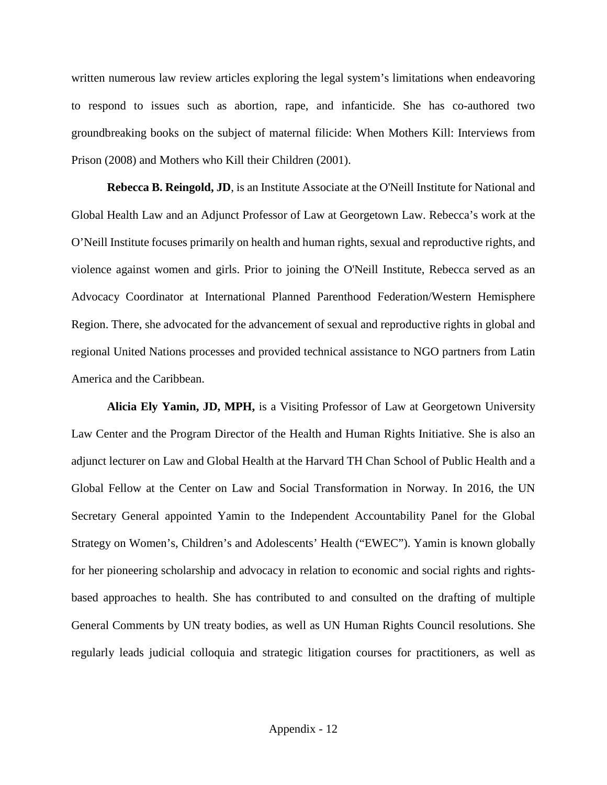written numerous law review articles exploring the legal system's limitations when endeavoring to respond to issues such as abortion, rape, and infanticide. She has co-authored two groundbreaking books on the subject of maternal filicide: When Mothers Kill: Interviews from Prison (2008) and Mothers who Kill their Children (2001).

<span id="page-49-0"></span>**Rebecca B. Reingold, JD**, is an Institute Associate at the O'Neill Institute for National and Global Health Law and an Adjunct Professor of Law at Georgetown Law. Rebecca's work at the O'Neill Institute focuses primarily on health and human rights, sexual and reproductive rights, and violence against women and girls. Prior to joining the O'Neill Institute, Rebecca served as an Advocacy Coordinator at International Planned Parenthood Federation/Western Hemisphere Region. There, she advocated for the advancement of sexual and reproductive rights in global and regional United Nations processes and provided technical assistance to NGO partners from Latin America and the Caribbean.

<span id="page-49-1"></span>**Alicia Ely Yamin, JD, MPH,** is a Visiting Professor of Law at Georgetown University Law Center and the Program Director of the Health and Human Rights Initiative. She is also an adjunct lecturer on Law and Global Health at the Harvard TH Chan School of Public Health and a Global Fellow at the Center on Law and Social Transformation in Norway. In 2016, the UN Secretary General appointed Yamin to the Independent Accountability Panel for the Global Strategy on Women's, Children's and Adolescents' Health ("EWEC"). Yamin is known globally for her pioneering scholarship and advocacy in relation to economic and social rights and rightsbased approaches to health. She has contributed to and consulted on the drafting of multiple General Comments by UN treaty bodies, as well as UN Human Rights Council resolutions. She regularly leads judicial colloquia and strategic litigation courses for practitioners, as well as